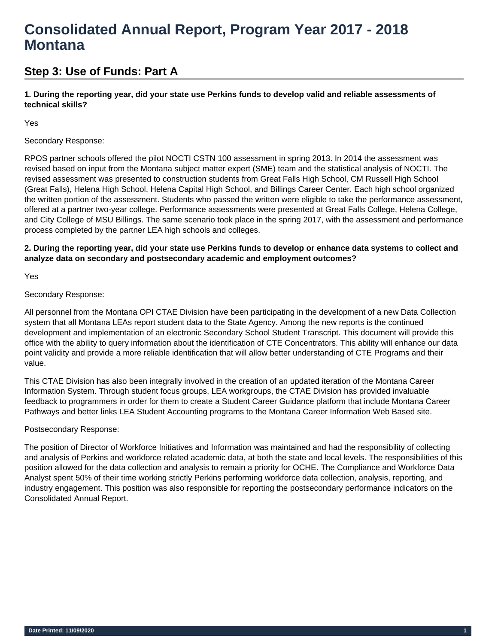# **Consolidated Annual Report, Program Year 2017 - 2018 Montana**

## **Step 3: Use of Funds: Part A**

**1. During the reporting year, did your state use Perkins funds to develop valid and reliable assessments of technical skills?** 

Yes

## Secondary Response:

RPOS partner schools offered the pilot NOCTI CSTN 100 assessment in spring 2013. In 2014 the assessment was revised based on input from the Montana subject matter expert (SME) team and the statistical analysis of NOCTI. The revised assessment was presented to construction students from Great Falls High School, CM Russell High School (Great Falls), Helena High School, Helena Capital High School, and Billings Career Center. Each high school organized the written portion of the assessment. Students who passed the written were eligible to take the performance assessment, offered at a partner two-year college. Performance assessments were presented at Great Falls College, Helena College, and City College of MSU Billings. The same scenario took place in the spring 2017, with the assessment and performance process completed by the partner LEA high schools and colleges.

## **2. During the reporting year, did your state use Perkins funds to develop or enhance data systems to collect and analyze data on secondary and postsecondary academic and employment outcomes?**

Yes

## Secondary Response:

All personnel from the Montana OPI CTAE Division have been participating in the development of a new Data Collection system that all Montana LEAs report student data to the State Agency. Among the new reports is the continued development and implementation of an electronic Secondary School Student Transcript. This document will provide this office with the ability to query information about the identification of CTE Concentrators. This ability will enhance our data point validity and provide a more reliable identification that will allow better understanding of CTE Programs and their value.

This CTAE Division has also been integrally involved in the creation of an updated iteration of the Montana Career Information System. Through student focus groups, LEA workgroups, the CTAE Division has provided invaluable feedback to programmers in order for them to create a Student Career Guidance platform that include Montana Career Pathways and better links LEA Student Accounting programs to the Montana Career Information Web Based site.

## Postsecondary Response:

The position of Director of Workforce Initiatives and Information was maintained and had the responsibility of collecting and analysis of Perkins and workforce related academic data, at both the state and local levels. The responsibilities of this position allowed for the data collection and analysis to remain a priority for OCHE. The Compliance and Workforce Data Analyst spent 50% of their time working strictly Perkins performing workforce data collection, analysis, reporting, and industry engagement. This position was also responsible for reporting the postsecondary performance indicators on the Consolidated Annual Report.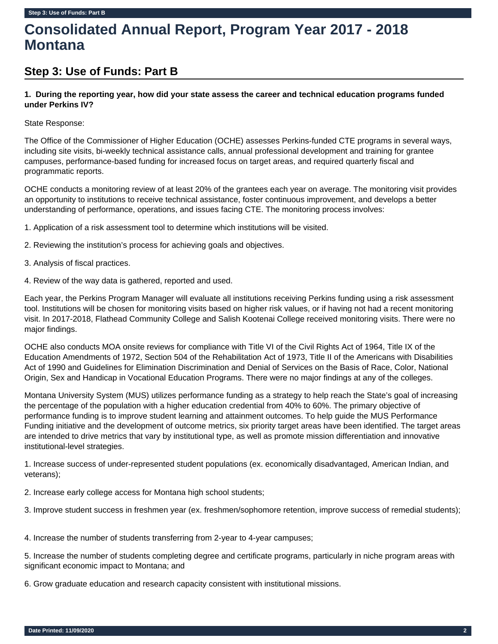# **Consolidated Annual Report, Program Year 2017 - 2018 Montana**

## **Step 3: Use of Funds: Part B**

## **1. During the reporting year, how did your state assess the career and technical education programs funded under Perkins IV?**

## State Response:

The Office of the Commissioner of Higher Education (OCHE) assesses Perkins-funded CTE programs in several ways, including site visits, bi-weekly technical assistance calls, annual professional development and training for grantee campuses, performance-based funding for increased focus on target areas, and required quarterly fiscal and programmatic reports.

OCHE conducts a monitoring review of at least 20% of the grantees each year on average. The monitoring visit provides an opportunity to institutions to receive technical assistance, foster continuous improvement, and develops a better understanding of performance, operations, and issues facing CTE. The monitoring process involves:

1. Application of a risk assessment tool to determine which institutions will be visited.

- 2. Reviewing the institution's process for achieving goals and objectives.
- 3. Analysis of fiscal practices.
- 4. Review of the way data is gathered, reported and used.

Each year, the Perkins Program Manager will evaluate all institutions receiving Perkins funding using a risk assessment tool. Institutions will be chosen for monitoring visits based on higher risk values, or if having not had a recent monitoring visit. In 2017-2018, Flathead Community College and Salish Kootenai College received monitoring visits. There were no major findings.

OCHE also conducts MOA onsite reviews for compliance with Title VI of the Civil Rights Act of 1964, Title IX of the Education Amendments of 1972, Section 504 of the Rehabilitation Act of 1973, Title II of the Americans with Disabilities Act of 1990 and Guidelines for Elimination Discrimination and Denial of Services on the Basis of Race, Color, National Origin, Sex and Handicap in Vocational Education Programs. There were no major findings at any of the colleges.

Montana University System (MUS) utilizes performance funding as a strategy to help reach the State's goal of increasing the percentage of the population with a higher education credential from 40% to 60%. The primary objective of performance funding is to improve student learning and attainment outcomes. To help guide the MUS Performance Funding initiative and the development of outcome metrics, six priority target areas have been identified. The target areas are intended to drive metrics that vary by institutional type, as well as promote mission differentiation and innovative institutional-level strategies.

1. Increase success of under-represented student populations (ex. economically disadvantaged, American Indian, and veterans);

2. Increase early college access for Montana high school students;

3. Improve student success in freshmen year (ex. freshmen/sophomore retention, improve success of remedial students);

4. Increase the number of students transferring from 2-year to 4-year campuses;

5. Increase the number of students completing degree and certificate programs, particularly in niche program areas with significant economic impact to Montana; and

6. Grow graduate education and research capacity consistent with institutional missions.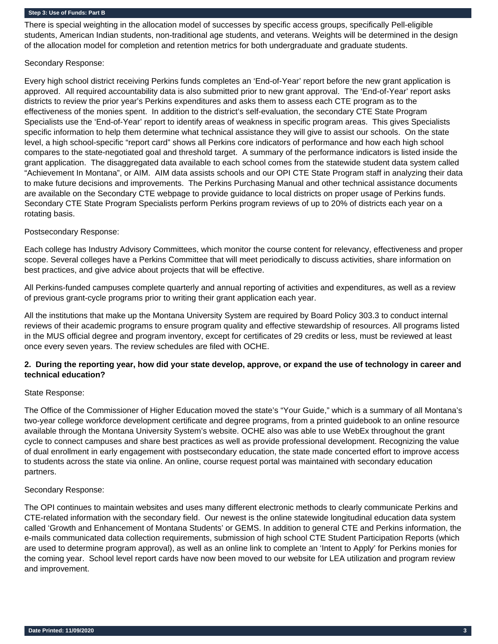There is special weighting in the allocation model of successes by specific access groups, specifically Pell-eligible students, American Indian students, non-traditional age students, and veterans. Weights will be determined in the design of the allocation model for completion and retention metrics for both undergraduate and graduate students.

## Secondary Response:

Every high school district receiving Perkins funds completes an 'End-of-Year' report before the new grant application is approved. All required accountability data is also submitted prior to new grant approval. The 'End-of-Year' report asks districts to review the prior year's Perkins expenditures and asks them to assess each CTE program as to the effectiveness of the monies spent. In addition to the district's self-evaluation, the secondary CTE State Program Specialists use the 'End-of-Year' report to identify areas of weakness in specific program areas. This gives Specialists specific information to help them determine what technical assistance they will give to assist our schools. On the state level, a high school-specific "report card" shows all Perkins core indicators of performance and how each high school compares to the state-negotiated goal and threshold target. A summary of the performance indicators is listed inside the grant application. The disaggregated data available to each school comes from the statewide student data system called "Achievement In Montana", or AIM. AIM data assists schools and our OPI CTE State Program staff in analyzing their data to make future decisions and improvements. The Perkins Purchasing Manual and other technical assistance documents are available on the Secondary CTE webpage to provide guidance to local districts on proper usage of Perkins funds. Secondary CTE State Program Specialists perform Perkins program reviews of up to 20% of districts each year on a rotating basis.

## Postsecondary Response:

Each college has Industry Advisory Committees, which monitor the course content for relevancy, effectiveness and proper scope. Several colleges have a Perkins Committee that will meet periodically to discuss activities, share information on best practices, and give advice about projects that will be effective.

All Perkins-funded campuses complete quarterly and annual reporting of activities and expenditures, as well as a review of previous grant-cycle programs prior to writing their grant application each year.

All the institutions that make up the Montana University System are required by Board Policy 303.3 to conduct internal reviews of their academic programs to ensure program quality and effective stewardship of resources. All programs listed in the MUS official degree and program inventory, except for certificates of 29 credits or less, must be reviewed at least once every seven years. The review schedules are filed with OCHE.

## **2. During the reporting year, how did your state develop, approve, or expand the use of technology in career and technical education?**

## State Response:

The Office of the Commissioner of Higher Education moved the state's "Your Guide," which is a summary of all Montana's two-year college workforce development certificate and degree programs, from a printed guidebook to an online resource available through the Montana University System's website. OCHE also was able to use WebEx throughout the grant cycle to connect campuses and share best practices as well as provide professional development. Recognizing the value of dual enrollment in early engagement with postsecondary education, the state made concerted effort to improve access to students across the state via online. An online, course request portal was maintained with secondary education partners.

## Secondary Response:

The OPI continues to maintain websites and uses many different electronic methods to clearly communicate Perkins and CTE-related information with the secondary field. Our newest is the online statewide longitudinal education data system called 'Growth and Enhancement of Montana Students' or GEMS. In addition to general CTE and Perkins information, the e-mails communicated data collection requirements, submission of high school CTE Student Participation Reports (which are used to determine program approval), as well as an online link to complete an 'Intent to Apply' for Perkins monies for the coming year. School level report cards have now been moved to our website for LEA utilization and program review and improvement.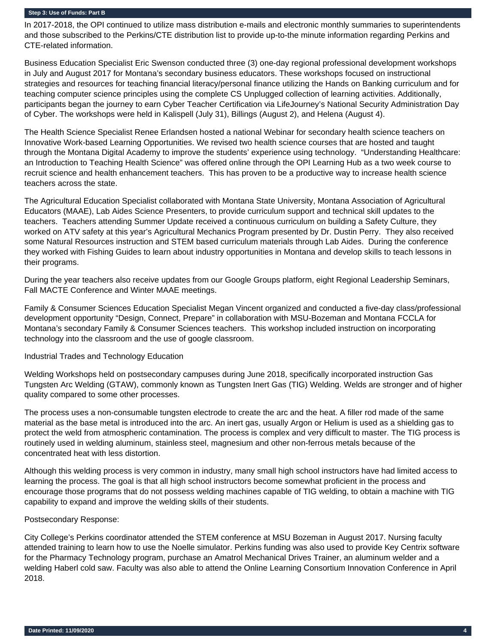In 2017-2018, the OPI continued to utilize mass distribution e-mails and electronic monthly summaries to superintendents and those subscribed to the Perkins/CTE distribution list to provide up-to-the minute information regarding Perkins and CTE-related information.

Business Education Specialist Eric Swenson conducted three (3) one-day regional professional development workshops in July and August 2017 for Montana's secondary business educators. These workshops focused on instructional strategies and resources for teaching financial literacy/personal finance utilizing the Hands on Banking curriculum and for teaching computer science principles using the complete CS Unplugged collection of learning activities. Additionally, participants began the journey to earn Cyber Teacher Certification via LifeJourney's National Security Administration Day of Cyber. The workshops were held in Kalispell (July 31), Billings (August 2), and Helena (August 4).

The Health Science Specialist Renee Erlandsen hosted a national Webinar for secondary health science teachers on Innovative Work-based Learning Opportunities. We revised two health science courses that are hosted and taught through the Montana Digital Academy to improve the students' experience using technology. "Understanding Healthcare: an Introduction to Teaching Health Science" was offered online through the OPI Learning Hub as a two week course to recruit science and health enhancement teachers. This has proven to be a productive way to increase health science teachers across the state.

The Agricultural Education Specialist collaborated with Montana State University, Montana Association of Agricultural Educators (MAAE), Lab Aides Science Presenters, to provide curriculum support and technical skill updates to the teachers. Teachers attending Summer Update received a continuous curriculum on building a Safety Culture, they worked on ATV safety at this year's Agricultural Mechanics Program presented by Dr. Dustin Perry. They also received some Natural Resources instruction and STEM based curriculum materials through Lab Aides. During the conference they worked with Fishing Guides to learn about industry opportunities in Montana and develop skills to teach lessons in their programs.

During the year teachers also receive updates from our Google Groups platform, eight Regional Leadership Seminars, Fall MACTE Conference and Winter MAAE meetings.

Family & Consumer Sciences Education Specialist Megan Vincent organized and conducted a five-day class/professional development opportunity "Design, Connect, Prepare" in collaboration with MSU-Bozeman and Montana FCCLA for Montana's secondary Family & Consumer Sciences teachers. This workshop included instruction on incorporating technology into the classroom and the use of google classroom.

#### Industrial Trades and Technology Education

Welding Workshops held on postsecondary campuses during June 2018, specifically incorporated instruction Gas Tungsten Arc Welding (GTAW), commonly known as Tungsten Inert Gas (TIG) Welding. Welds are stronger and of higher quality compared to some other processes.

The process uses a non-consumable tungsten electrode to create the arc and the heat. A filler rod made of the same material as the base metal is introduced into the arc. An inert gas, usually Argon or Helium is used as a shielding gas to protect the weld from atmospheric contamination. The process is complex and very difficult to master. The TIG process is routinely used in welding aluminum, stainless steel, magnesium and other non-ferrous metals because of the concentrated heat with less distortion.

Although this welding process is very common in industry, many small high school instructors have had limited access to learning the process. The goal is that all high school instructors become somewhat proficient in the process and encourage those programs that do not possess welding machines capable of TIG welding, to obtain a machine with TIG capability to expand and improve the welding skills of their students.

#### Postsecondary Response:

City College's Perkins coordinator attended the STEM conference at MSU Bozeman in August 2017. Nursing faculty attended training to learn how to use the Noelle simulator. Perkins funding was also used to provide Key Centrix software for the Pharmacy Technology program, purchase an Amatrol Mechanical Drives Trainer, an aluminum welder and a welding Haberl cold saw. Faculty was also able to attend the Online Learning Consortium Innovation Conference in April 2018.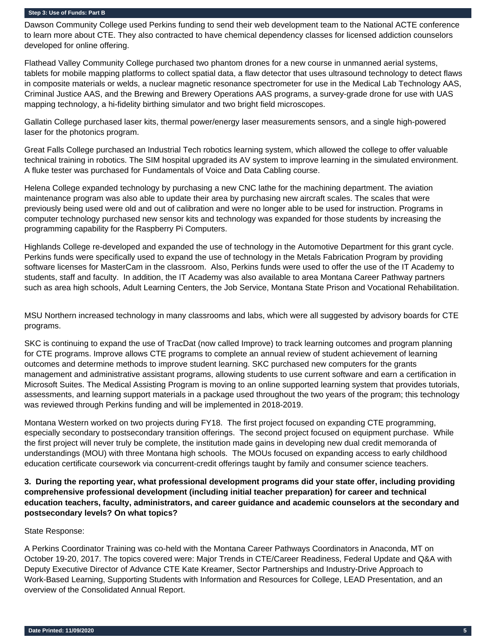Dawson Community College used Perkins funding to send their web development team to the National ACTE conference to learn more about CTE. They also contracted to have chemical dependency classes for licensed addiction counselors developed for online offering.

Flathead Valley Community College purchased two phantom drones for a new course in unmanned aerial systems, tablets for mobile mapping platforms to collect spatial data, a flaw detector that uses ultrasound technology to detect flaws in composite materials or welds, a nuclear magnetic resonance spectrometer for use in the Medical Lab Technology AAS, Criminal Justice AAS, and the Brewing and Brewery Operations AAS programs, a survey-grade drone for use with UAS mapping technology, a hi-fidelity birthing simulator and two bright field microscopes.

Gallatin College purchased laser kits, thermal power/energy laser measurements sensors, and a single high-powered laser for the photonics program.

Great Falls College purchased an Industrial Tech robotics learning system, which allowed the college to offer valuable technical training in robotics. The SIM hospital upgraded its AV system to improve learning in the simulated environment. A fluke tester was purchased for Fundamentals of Voice and Data Cabling course.

Helena College expanded technology by purchasing a new CNC lathe for the machining department. The aviation maintenance program was also able to update their area by purchasing new aircraft scales. The scales that were previously being used were old and out of calibration and were no longer able to be used for instruction. Programs in computer technology purchased new sensor kits and technology was expanded for those students by increasing the programming capability for the Raspberry Pi Computers.

Highlands College re-developed and expanded the use of technology in the Automotive Department for this grant cycle. Perkins funds were specifically used to expand the use of technology in the Metals Fabrication Program by providing software licenses for MasterCam in the classroom. Also, Perkins funds were used to offer the use of the IT Academy to students, staff and faculty. In addition, the IT Academy was also available to area Montana Career Pathway partners such as area high schools, Adult Learning Centers, the Job Service, Montana State Prison and Vocational Rehabilitation.

MSU Northern increased technology in many classrooms and labs, which were all suggested by advisory boards for CTE programs.

SKC is continuing to expand the use of TracDat (now called Improve) to track learning outcomes and program planning for CTE programs. Improve allows CTE programs to complete an annual review of student achievement of learning outcomes and determine methods to improve student learning. SKC purchased new computers for the grants management and administrative assistant programs, allowing students to use current software and earn a certification in Microsoft Suites. The Medical Assisting Program is moving to an online supported learning system that provides tutorials, assessments, and learning support materials in a package used throughout the two years of the program; this technology was reviewed through Perkins funding and will be implemented in 2018-2019.

Montana Western worked on two projects during FY18. The first project focused on expanding CTE programming, especially secondary to postsecondary transition offerings. The second project focused on equipment purchase. While the first project will never truly be complete, the institution made gains in developing new dual credit memoranda of understandings (MOU) with three Montana high schools. The MOUs focused on expanding access to early childhood education certificate coursework via concurrent-credit offerings taught by family and consumer science teachers.

## **3. During the reporting year, what professional development programs did your state offer, including providing comprehensive professional development (including initial teacher preparation) for career and technical education teachers, faculty, administrators, and career guidance and academic counselors at the secondary and postsecondary levels? On what topics?**

## State Response:

A Perkins Coordinator Training was co-held with the Montana Career Pathways Coordinators in Anaconda, MT on October 19-20, 2017. The topics covered were: Major Trends in CTE/Career Readiness, Federal Update and Q&A with Deputy Executive Director of Advance CTE Kate Kreamer, Sector Partnerships and Industry-Drive Approach to Work-Based Learning, Supporting Students with Information and Resources for College, LEAD Presentation, and an overview of the Consolidated Annual Report.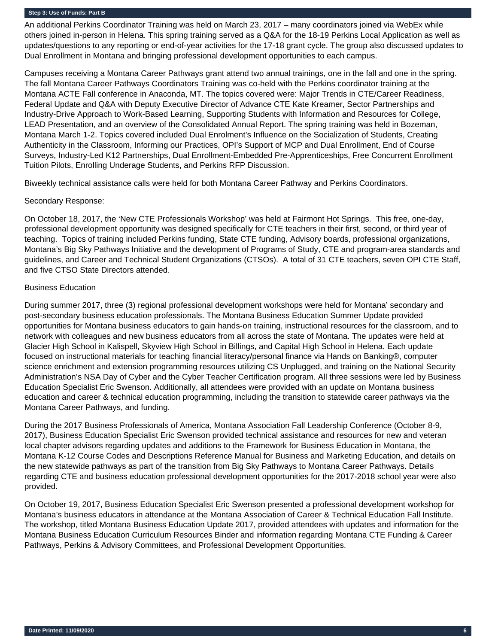An additional Perkins Coordinator Training was held on March 23, 2017 – many coordinators joined via WebEx while others joined in-person in Helena. This spring training served as a Q&A for the 18-19 Perkins Local Application as well as updates/questions to any reporting or end-of-year activities for the 17-18 grant cycle. The group also discussed updates to Dual Enrollment in Montana and bringing professional development opportunities to each campus.

Campuses receiving a Montana Career Pathways grant attend two annual trainings, one in the fall and one in the spring. The fall Montana Career Pathways Coordinators Training was co-held with the Perkins coordinator training at the Montana ACTE Fall conference in Anaconda, MT. The topics covered were: Major Trends in CTE/Career Readiness, Federal Update and Q&A with Deputy Executive Director of Advance CTE Kate Kreamer, Sector Partnerships and Industry-Drive Approach to Work-Based Learning, Supporting Students with Information and Resources for College, LEAD Presentation, and an overview of the Consolidated Annual Report. The spring training was held in Bozeman, Montana March 1-2. Topics covered included Dual Enrolment's Influence on the Socialization of Students, Creating Authenticity in the Classroom, Informing our Practices, OPI's Support of MCP and Dual Enrollment, End of Course Surveys, Industry-Led K12 Partnerships, Dual Enrollment-Embedded Pre-Apprenticeships, Free Concurrent Enrollment Tuition Pilots, Enrolling Underage Students, and Perkins RFP Discussion.

Biweekly technical assistance calls were held for both Montana Career Pathway and Perkins Coordinators.

## Secondary Response:

On October 18, 2017, the 'New CTE Professionals Workshop' was held at Fairmont Hot Springs. This free, one-day, professional development opportunity was designed specifically for CTE teachers in their first, second, or third year of teaching. Topics of training included Perkins funding, State CTE funding, Advisory boards, professional organizations, Montana's Big Sky Pathways Initiative and the development of Programs of Study, CTE and program-area standards and guidelines, and Career and Technical Student Organizations (CTSOs). A total of 31 CTE teachers, seven OPI CTE Staff, and five CTSO State Directors attended.

## Business Education

During summer 2017, three (3) regional professional development workshops were held for Montana' secondary and post-secondary business education professionals. The Montana Business Education Summer Update provided opportunities for Montana business educators to gain hands-on training, instructional resources for the classroom, and to network with colleagues and new business educators from all across the state of Montana. The updates were held at Glacier High School in Kalispell, Skyview High School in Billings, and Capital High School in Helena. Each update focused on instructional materials for teaching financial literacy/personal finance via Hands on Banking®, computer science enrichment and extension programming resources utilizing CS Unplugged, and training on the National Security Administration's NSA Day of Cyber and the Cyber Teacher Certification program. All three sessions were led by Business Education Specialist Eric Swenson. Additionally, all attendees were provided with an update on Montana business education and career & technical education programming, including the transition to statewide career pathways via the Montana Career Pathways, and funding.

During the 2017 Business Professionals of America, Montana Association Fall Leadership Conference (October 8-9, 2017), Business Education Specialist Eric Swenson provided technical assistance and resources for new and veteran local chapter advisors regarding updates and additions to the Framework for Business Education in Montana, the Montana K-12 Course Codes and Descriptions Reference Manual for Business and Marketing Education, and details on the new statewide pathways as part of the transition from Big Sky Pathways to Montana Career Pathways. Details regarding CTE and business education professional development opportunities for the 2017-2018 school year were also provided.

On October 19, 2017, Business Education Specialist Eric Swenson presented a professional development workshop for Montana's business educators in attendance at the Montana Association of Career & Technical Education Fall Institute. The workshop, titled Montana Business Education Update 2017, provided attendees with updates and information for the Montana Business Education Curriculum Resources Binder and information regarding Montana CTE Funding & Career Pathways, Perkins & Advisory Committees, and Professional Development Opportunities.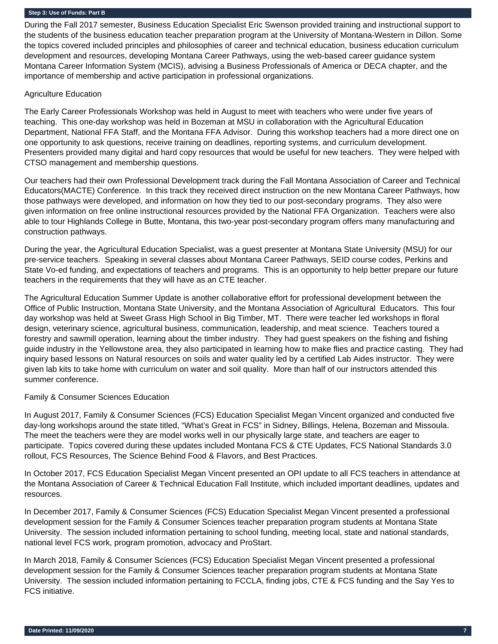During the Fall 2017 semester, Business Education Specialist Eric Swenson provided training and instructional support to the students of the business education teacher preparation program at the University of Montana-Western in Dillon. Some the topics covered included principles and philosophies of career and technical education, business education curriculum development and resources, developing Montana Career Pathways, using the web-based career guidance system Montana Career Information System (MCIS), advising a Business Professionals of America or DECA chapter, and the importance of membership and active participation in professional organizations.

#### Agriculture Education

The Early Career Professionals Workshop was held in August to meet with teachers who were under five years of teaching. This one-day workshop was held in Bozeman at MSU in collaboration with the Agricultural Education Department, National FFA Staff, and the Montana FFA Advisor. During this workshop teachers had a more direct one on one opportunity to ask questions, receive training on deadlines, reporting systems, and curriculum development. Presenters provided many digital and hard copy resources that would be useful for new teachers. They were helped with CTSO management and membership questions.

Our teachers had their own Professional Development track during the Fall Montana Association of Career and Technical Educators(MACTE) Conference. In this track they received direct instruction on the new Montana Career Pathways, how those pathways were developed, and information on how they tied to our post-secondary programs. They also were given information on free online instructional resources provided by the National FFA Organization. Teachers were also able to tour Highlands College in Butte, Montana, this two-year post-secondary program offers many manufacturing and construction pathways.

During the year, the Agricultural Education Specialist, was a guest presenter at Montana State University (MSU) for our pre-service teachers. Speaking in several classes about Montana Career Pathways, SEID course codes, Perkins and State Vo-ed funding, and expectations of teachers and programs. This is an opportunity to help better prepare our future teachers in the requirements that they will have as an CTE teacher.

The Agricultural Education Summer Update is another collaborative effort for professional development between the Office of Public Instruction, Montana State University, and the Montana Association of Agricultural Educators. This four day workshop was held at Sweet Grass High School in Big Timber, MT. There were teacher led workshops in floral design, veterinary science, agricultural business, communication, leadership, and meat science. Teachers toured a forestry and sawmill operation, learning about the timber industry. They had guest speakers on the fishing and fishing guide industry in the Yellowstone area, they also participated in learning how to make flies and practice casting. They had inquiry based lessons on Natural resources on soils and water quality led by a certified Lab Aides instructor. They were given lab kits to take home with curriculum on water and soil quality. More than half of our instructors attended this summer conference.

## Family & Consumer Sciences Education

In August 2017, Family & Consumer Sciences (FCS) Education Specialist Megan Vincent organized and conducted five day-long workshops around the state titled, "What's Great in FCS" in Sidney, Billings, Helena, Bozeman and Missoula. The meet the teachers were they are model works well in our physically large state, and teachers are eager to participate. Topics covered during these updates included Montana FCS & CTE Updates, FCS National Standards 3.0 rollout, FCS Resources, The Science Behind Food & Flavors, and Best Practices.

In October 2017, FCS Education Specialist Megan Vincent presented an OPI update to all FCS teachers in attendance at the Montana Association of Career & Technical Education Fall Institute, which included important deadlines, updates and resources.

In December 2017, Family & Consumer Sciences (FCS) Education Specialist Megan Vincent presented a professional development session for the Family & Consumer Sciences teacher preparation program students at Montana State University. The session included information pertaining to school funding, meeting local, state and national standards, national level FCS work, program promotion, advocacy and ProStart.

In March 2018, Family & Consumer Sciences (FCS) Education Specialist Megan Vincent presented a professional development session for the Family & Consumer Sciences teacher preparation program students at Montana State University. The session included information pertaining to FCCLA, finding jobs, CTE & FCS funding and the Say Yes to FCS initiative.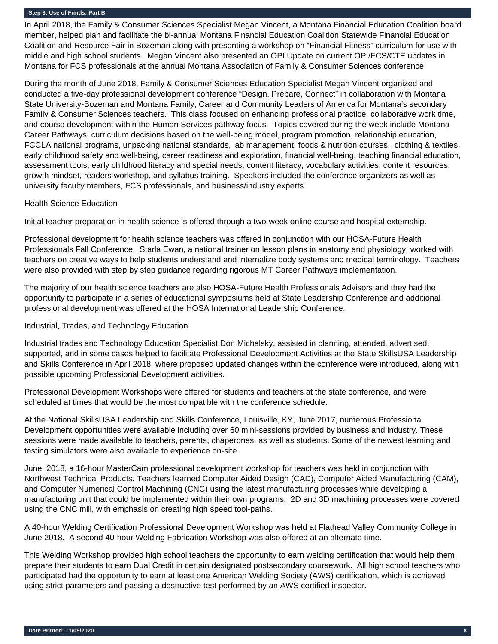In April 2018, the Family & Consumer Sciences Specialist Megan Vincent, a Montana Financial Education Coalition board member, helped plan and facilitate the bi-annual Montana Financial Education Coalition Statewide Financial Education Coalition and Resource Fair in Bozeman along with presenting a workshop on "Financial Fitness" curriculum for use with middle and high school students. Megan Vincent also presented an OPI Update on current OPI/FCS/CTE updates in Montana for FCS professionals at the annual Montana Association of Family & Consumer Sciences conference.

During the month of June 2018, Family & Consumer Sciences Education Specialist Megan Vincent organized and conducted a five-day professional development conference "Design, Prepare, Connect" in collaboration with Montana State University-Bozeman and Montana Family, Career and Community Leaders of America for Montana's secondary Family & Consumer Sciences teachers. This class focused on enhancing professional practice, collaborative work time, and course development within the Human Services pathway focus. Topics covered during the week include Montana Career Pathways, curriculum decisions based on the well-being model, program promotion, relationship education, FCCLA national programs, unpacking national standards, lab management, foods & nutrition courses, clothing & textiles, early childhood safety and well-being, career readiness and exploration, financial well-being, teaching financial education, assessment tools, early childhood literacy and special needs, content literacy, vocabulary activities, content resources, growth mindset, readers workshop, and syllabus training. Speakers included the conference organizers as well as university faculty members, FCS professionals, and business/industry experts.

#### Health Science Education

Initial teacher preparation in health science is offered through a two-week online course and hospital externship.

Professional development for health science teachers was offered in conjunction with our HOSA-Future Health Professionals Fall Conference. Starla Ewan, a national trainer on lesson plans in anatomy and physiology, worked with teachers on creative ways to help students understand and internalize body systems and medical terminology. Teachers were also provided with step by step guidance regarding rigorous MT Career Pathways implementation.

The majority of our health science teachers are also HOSA-Future Health Professionals Advisors and they had the opportunity to participate in a series of educational symposiums held at State Leadership Conference and additional professional development was offered at the HOSA International Leadership Conference.

## Industrial, Trades, and Technology Education

Industrial trades and Technology Education Specialist Don Michalsky, assisted in planning, attended, advertised, supported, and in some cases helped to facilitate Professional Development Activities at the State SkillsUSA Leadership and Skills Conference in April 2018, where proposed updated changes within the conference were introduced, along with possible upcoming Professional Development activities.

Professional Development Workshops were offered for students and teachers at the state conference, and were scheduled at times that would be the most compatible with the conference schedule.

At the National SkillsUSA Leadership and Skills Conference, Louisville, KY, June 2017, numerous Professional Development opportunities were available including over 60 mini-sessions provided by business and industry. These sessions were made available to teachers, parents, chaperones, as well as students. Some of the newest learning and testing simulators were also available to experience on-site.

June 2018, a 16-hour MasterCam professional development workshop for teachers was held in conjunction with Northwest Technical Products. Teachers learned Computer Aided Design (CAD), Computer Aided Manufacturing (CAM), and Computer Numerical Control Machining (CNC) using the latest manufacturing processes while developing a manufacturing unit that could be implemented within their own programs. 2D and 3D machining processes were covered using the CNC mill, with emphasis on creating high speed tool-paths.

A 40-hour Welding Certification Professional Development Workshop was held at Flathead Valley Community College in June 2018. A second 40-hour Welding Fabrication Workshop was also offered at an alternate time.

This Welding Workshop provided high school teachers the opportunity to earn welding certification that would help them prepare their students to earn Dual Credit in certain designated postsecondary coursework. All high school teachers who participated had the opportunity to earn at least one American Welding Society (AWS) certification, which is achieved using strict parameters and passing a destructive test performed by an AWS certified inspector.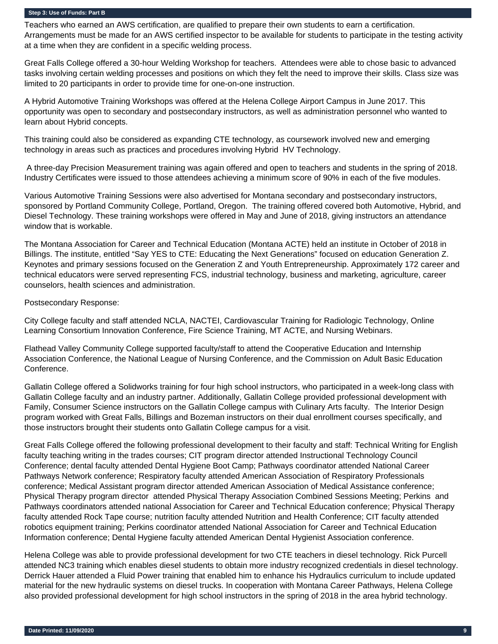Teachers who earned an AWS certification, are qualified to prepare their own students to earn a certification. Arrangements must be made for an AWS certified inspector to be available for students to participate in the testing activity at a time when they are confident in a specific welding process.

Great Falls College offered a 30-hour Welding Workshop for teachers. Attendees were able to chose basic to advanced tasks involving certain welding processes and positions on which they felt the need to improve their skills. Class size was limited to 20 participants in order to provide time for one-on-one instruction.

A Hybrid Automotive Training Workshops was offered at the Helena College Airport Campus in June 2017. This opportunity was open to secondary and postsecondary instructors, as well as administration personnel who wanted to learn about Hybrid concepts.

This training could also be considered as expanding CTE technology, as coursework involved new and emerging technology in areas such as practices and procedures involving Hybrid HV Technology.

 A three-day Precision Measurement training was again offered and open to teachers and students in the spring of 2018. Industry Certificates were issued to those attendees achieving a minimum score of 90% in each of the five modules.

Various Automotive Training Sessions were also advertised for Montana secondary and postsecondary instructors, sponsored by Portland Community College, Portland, Oregon. The training offered covered both Automotive, Hybrid, and Diesel Technology. These training workshops were offered in May and June of 2018, giving instructors an attendance window that is workable.

The Montana Association for Career and Technical Education (Montana ACTE) held an institute in October of 2018 in Billings. The institute, entitled "Say YES to CTE: Educating the Next Generations" focused on education Generation Z. Keynotes and primary sessions focused on the Generation Z and Youth Entrepreneurship. Approximately 172 career and technical educators were served representing FCS, industrial technology, business and marketing, agriculture, career counselors, health sciences and administration.

## Postsecondary Response:

City College faculty and staff attended NCLA, NACTEI, Cardiovascular Training for Radiologic Technology, Online Learning Consortium Innovation Conference, Fire Science Training, MT ACTE, and Nursing Webinars.

Flathead Valley Community College supported faculty/staff to attend the Cooperative Education and Internship Association Conference, the National League of Nursing Conference, and the Commission on Adult Basic Education Conference.

Gallatin College offered a Solidworks training for four high school instructors, who participated in a week-long class with Gallatin College faculty and an industry partner. Additionally, Gallatin College provided professional development with Family, Consumer Science instructors on the Gallatin College campus with Culinary Arts faculty. The Interior Design program worked with Great Falls, Billings and Bozeman instructors on their dual enrollment courses specifically, and those instructors brought their students onto Gallatin College campus for a visit.

Great Falls College offered the following professional development to their faculty and staff: Technical Writing for English faculty teaching writing in the trades courses; CIT program director attended Instructional Technology Council Conference; dental faculty attended Dental Hygiene Boot Camp; Pathways coordinator attended National Career Pathways Network conference; Respiratory faculty attended American Association of Respiratory Professionals conference; Medical Assistant program director attended American Association of Medical Assistance conference; Physical Therapy program director attended Physical Therapy Association Combined Sessions Meeting; Perkins and Pathways coordinators attended national Association for Career and Technical Education conference; Physical Therapy faculty attended Rock Tape course; nutrition faculty attended Nutrition and Health Conference; CIT faculty attended robotics equipment training; Perkins coordinator attended National Association for Career and Technical Education Information conference; Dental Hygiene faculty attended American Dental Hygienist Association conference.

Helena College was able to provide professional development for two CTE teachers in diesel technology. Rick Purcell attended NC3 training which enables diesel students to obtain more industry recognized credentials in diesel technology. Derrick Hauer attended a Fluid Power training that enabled him to enhance his Hydraulics curriculum to include updated material for the new hydraulic systems on diesel trucks. In cooperation with Montana Career Pathways, Helena College also provided professional development for high school instructors in the spring of 2018 in the area hybrid technology.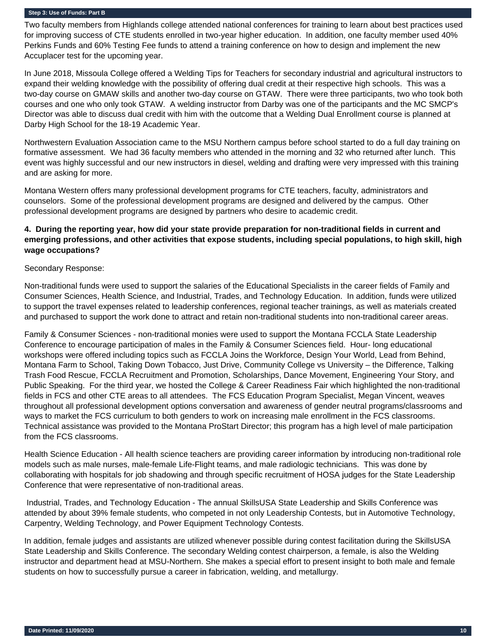Two faculty members from Highlands college attended national conferences for training to learn about best practices used for improving success of CTE students enrolled in two-year higher education. In addition, one faculty member used 40% Perkins Funds and 60% Testing Fee funds to attend a training conference on how to design and implement the new Accuplacer test for the upcoming year.

In June 2018, Missoula College offered a Welding Tips for Teachers for secondary industrial and agricultural instructors to expand their welding knowledge with the possibility of offering dual credit at their respective high schools. This was a two-day course on GMAW skills and another two-day course on GTAW. There were three participants, two who took both courses and one who only took GTAW. A welding instructor from Darby was one of the participants and the MC SMCP's Director was able to discuss dual credit with him with the outcome that a Welding Dual Enrollment course is planned at Darby High School for the 18-19 Academic Year.

Northwestern Evaluation Association came to the MSU Northern campus before school started to do a full day training on formative assessment. We had 36 faculty members who attended in the morning and 32 who returned after lunch. This event was highly successful and our new instructors in diesel, welding and drafting were very impressed with this training and are asking for more.

Montana Western offers many professional development programs for CTE teachers, faculty, administrators and counselors. Some of the professional development programs are designed and delivered by the campus. Other professional development programs are designed by partners who desire to academic credit.

## **4. During the reporting year, how did your state provide preparation for non-traditional fields in current and emerging professions, and other activities that expose students, including special populations, to high skill, high wage occupations?**

## Secondary Response:

Non-traditional funds were used to support the salaries of the Educational Specialists in the career fields of Family and Consumer Sciences, Health Science, and Industrial, Trades, and Technology Education. In addition, funds were utilized to support the travel expenses related to leadership conferences, regional teacher trainings, as well as materials created and purchased to support the work done to attract and retain non-traditional students into non-traditional career areas.

Family & Consumer Sciences - non-traditional monies were used to support the Montana FCCLA State Leadership Conference to encourage participation of males in the Family & Consumer Sciences field. Hour- long educational workshops were offered including topics such as FCCLA Joins the Workforce, Design Your World, Lead from Behind, Montana Farm to School, Taking Down Tobacco, Just Drive, Community College vs University – the Difference, Talking Trash Food Rescue, FCCLA Recruitment and Promotion, Scholarships, Dance Movement, Engineering Your Story, and Public Speaking. For the third year, we hosted the College & Career Readiness Fair which highlighted the non-traditional fields in FCS and other CTE areas to all attendees. The FCS Education Program Specialist, Megan Vincent, weaves throughout all professional development options conversation and awareness of gender neutral programs/classrooms and ways to market the FCS curriculum to both genders to work on increasing male enrollment in the FCS classrooms. Technical assistance was provided to the Montana ProStart Director; this program has a high level of male participation from the FCS classrooms.

Health Science Education - All health science teachers are providing career information by introducing non-traditional role models such as male nurses, male-female Life-Flight teams, and male radiologic technicians. This was done by collaborating with hospitals for job shadowing and through specific recruitment of HOSA judges for the State Leadership Conference that were representative of non-traditional areas.

 Industrial, Trades, and Technology Education - The annual SkillsUSA State Leadership and Skills Conference was attended by about 39% female students, who competed in not only Leadership Contests, but in Automotive Technology, Carpentry, Welding Technology, and Power Equipment Technology Contests.

In addition, female judges and assistants are utilized whenever possible during contest facilitation during the SkillsUSA State Leadership and Skills Conference. The secondary Welding contest chairperson, a female, is also the Welding instructor and department head at MSU-Northern. She makes a special effort to present insight to both male and female students on how to successfully pursue a career in fabrication, welding, and metallurgy.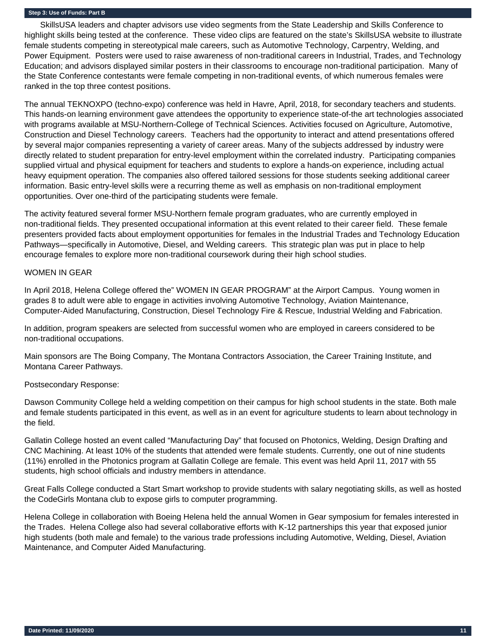SkillsUSA leaders and chapter advisors use video segments from the State Leadership and Skills Conference to highlight skills being tested at the conference. These video clips are featured on the state's SkillsUSA website to illustrate female students competing in stereotypical male careers, such as Automotive Technology, Carpentry, Welding, and Power Equipment. Posters were used to raise awareness of non-traditional careers in Industrial, Trades, and Technology Education; and advisors displayed similar posters in their classrooms to encourage non-traditional participation. Many of the State Conference contestants were female competing in non-traditional events, of which numerous females were ranked in the top three contest positions.

The annual TEKNOXPO (techno-expo) conference was held in Havre, April, 2018, for secondary teachers and students. This hands-on learning environment gave attendees the opportunity to experience state-of-the art technologies associated with programs available at MSU-Northern-College of Technical Sciences. Activities focused on Agriculture, Automotive, Construction and Diesel Technology careers. Teachers had the opportunity to interact and attend presentations offered by several major companies representing a variety of career areas. Many of the subjects addressed by industry were directly related to student preparation for entry-level employment within the correlated industry. Participating companies supplied virtual and physical equipment for teachers and students to explore a hands-on experience, including actual heavy equipment operation. The companies also offered tailored sessions for those students seeking additional career information. Basic entry-level skills were a recurring theme as well as emphasis on non-traditional employment opportunities. Over one-third of the participating students were female.

The activity featured several former MSU-Northern female program graduates, who are currently employed in non-traditional fields. They presented occupational information at this event related to their career field. These female presenters provided facts about employment opportunities for females in the Industrial Trades and Technology Education Pathways—specifically in Automotive, Diesel, and Welding careers. This strategic plan was put in place to help encourage females to explore more non-traditional coursework during their high school studies.

#### WOMEN IN GEAR

In April 2018, Helena College offered the" WOMEN IN GEAR PROGRAM" at the Airport Campus. Young women in grades 8 to adult were able to engage in activities involving Automotive Technology, Aviation Maintenance, Computer-Aided Manufacturing, Construction, Diesel Technology Fire & Rescue, Industrial Welding and Fabrication.

In addition, program speakers are selected from successful women who are employed in careers considered to be non-traditional occupations.

Main sponsors are The Boing Company, The Montana Contractors Association, the Career Training Institute, and Montana Career Pathways.

## Postsecondary Response:

Dawson Community College held a welding competition on their campus for high school students in the state. Both male and female students participated in this event, as well as in an event for agriculture students to learn about technology in the field.

Gallatin College hosted an event called "Manufacturing Day" that focused on Photonics, Welding, Design Drafting and CNC Machining. At least 10% of the students that attended were female students. Currently, one out of nine students (11%) enrolled in the Photonics program at Gallatin College are female. This event was held April 11, 2017 with 55 students, high school officials and industry members in attendance.

Great Falls College conducted a Start Smart workshop to provide students with salary negotiating skills, as well as hosted the CodeGirls Montana club to expose girls to computer programming.

Helena College in collaboration with Boeing Helena held the annual Women in Gear symposium for females interested in the Trades. Helena College also had several collaborative efforts with K-12 partnerships this year that exposed junior high students (both male and female) to the various trade professions including Automotive, Welding, Diesel, Aviation Maintenance, and Computer Aided Manufacturing.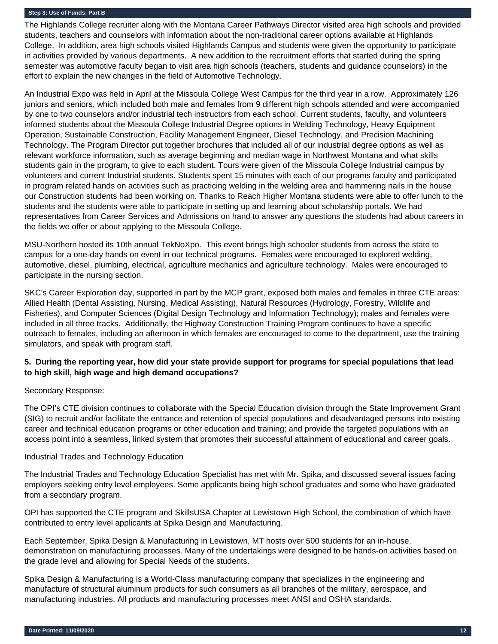The Highlands College recruiter along with the Montana Career Pathways Director visited area high schools and provided students, teachers and counselors with information about the non-traditional career options available at Highlands College. In addition, area high schools visited Highlands Campus and students were given the opportunity to participate in activities provided by various departments. A new addition to the recruitment efforts that started during the spring semester was automotive faculty began to visit area high schools (teachers, students and guidance counselors) in the effort to explain the new changes in the field of Automotive Technology.

An Industrial Expo was held in April at the Missoula College West Campus for the third year in a row. Approximately 126 juniors and seniors, which included both male and females from 9 different high schools attended and were accompanied by one to two counselors and/or industrial tech instructors from each school. Current students, faculty, and volunteers informed students about the Missoula College Industrial Degree options in Welding Technology, Heavy Equipment Operation, Sustainable Construction, Facility Management Engineer, Diesel Technology, and Precision Machining Technology. The Program Director put together brochures that included all of our industrial degree options as well as relevant workforce information, such as average beginning and median wage in Northwest Montana and what skills students gain in the program, to give to each student. Tours were given of the Missoula College Industrial campus by volunteers and current Industrial students. Students spent 15 minutes with each of our programs faculty and participated in program related hands on activities such as practicing welding in the welding area and hammering nails in the house our Construction students had been working on. Thanks to Reach Higher Montana students were able to offer lunch to the students and the students were able to participate in setting up and learning about scholarship portals. We had representatives from Career Services and Admissions on hand to answer any questions the students had about careers in the fields we offer or about applying to the Missoula College.

MSU-Northern hosted its 10th annual TekNoXpo. This event brings high schooler students from across the state to campus for a one-day hands on event in our technical programs. Females were encouraged to explored welding, automotive, diesel, plumbing, electrical, agriculture mechanics and agriculture technology. Males were encouraged to participate in the nursing section.

SKC's Career Exploration day, supported in part by the MCP grant, exposed both males and females in three CTE areas: Allied Health (Dental Assisting, Nursing, Medical Assisting), Natural Resources (Hydrology, Forestry, Wildlife and Fisheries), and Computer Sciences (Digital Design Technology and Information Technology); males and females were included in all three tracks. Additionally, the Highway Construction Training Program continues to have a specific outreach to females, including an afternoon in which females are encouraged to come to the department, use the training simulators, and speak with program staff.

## **5. During the reporting year, how did your state provide support for programs for special populations that lead to high skill, high wage and high demand occupations?**

## Secondary Response:

The OPI's CTE division continues to collaborate with the Special Education division through the State Improvement Grant (SIG) to recruit and/or facilitate the entrance and retention of special populations and disadvantaged persons into existing career and technical education programs or other education and training; and provide the targeted populations with an access point into a seamless, linked system that promotes their successful attainment of educational and career goals.

## Industrial Trades and Technology Education

The Industrial Trades and Technology Education Specialist has met with Mr. Spika, and discussed several issues facing employers seeking entry level employees. Some applicants being high school graduates and some who have graduated from a secondary program.

OPI has supported the CTE program and SkillsUSA Chapter at Lewistown High School, the combination of which have contributed to entry level applicants at Spika Design and Manufacturing.

Each September, Spika Design & Manufacturing in Lewistown, MT hosts over 500 students for an in-house, demonstration on manufacturing processes. Many of the undertakings were designed to be hands-on activities based on the grade level and allowing for Special Needs of the students.

Spika Design & Manufacturing is a World-Class manufacturing company that specializes in the engineering and manufacture of structural aluminum products for such consumers as all branches of the military, aerospace, and manufacturing industries. All products and manufacturing processes meet ANSI and OSHA standards.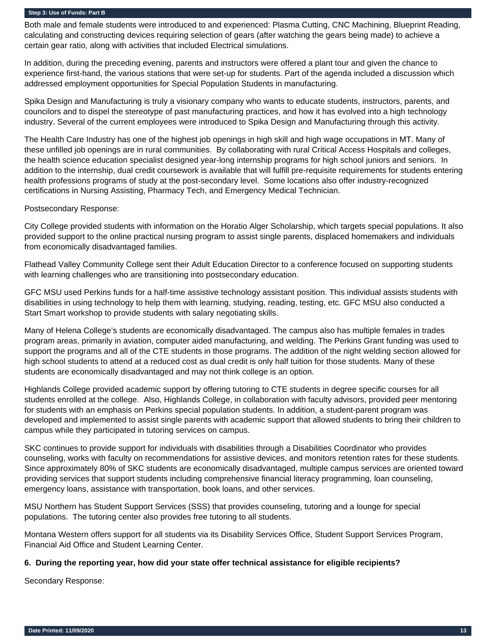Both male and female students were introduced to and experienced: Plasma Cutting, CNC Machining, Blueprint Reading, calculating and constructing devices requiring selection of gears (after watching the gears being made) to achieve a certain gear ratio, along with activities that included Electrical simulations.

In addition, during the preceding evening, parents and instructors were offered a plant tour and given the chance to experience first-hand, the various stations that were set-up for students. Part of the agenda included a discussion which addressed employment opportunities for Special Population Students in manufacturing.

Spika Design and Manufacturing is truly a visionary company who wants to educate students, instructors, parents, and councilors and to dispel the stereotype of past manufacturing practices, and how it has evolved into a high technology industry. Several of the current employees were introduced to Spika Design and Manufacturing through this activity.

The Health Care Industry has one of the highest job openings in high skill and high wage occupations in MT. Many of these unfilled job openings are in rural communities. By collaborating with rural Critical Access Hospitals and colleges, the health science education specialist designed year-long internship programs for high school juniors and seniors. In addition to the internship, dual credit coursework is available that will fulfill pre-requisite requirements for students entering health professions programs of study at the post-secondary level. Some locations also offer industry-recognized certifications in Nursing Assisting, Pharmacy Tech, and Emergency Medical Technician.

Postsecondary Response:

City College provided students with information on the Horatio Alger Scholarship, which targets special populations. It also provided support to the online practical nursing program to assist single parents, displaced homemakers and individuals from economically disadvantaged families.

Flathead Valley Community College sent their Adult Education Director to a conference focused on supporting students with learning challenges who are transitioning into postsecondary education.

GFC MSU used Perkins funds for a half-time assistive technology assistant position. This individual assists students with disabilities in using technology to help them with learning, studying, reading, testing, etc. GFC MSU also conducted a Start Smart workshop to provide students with salary negotiating skills.

Many of Helena College's students are economically disadvantaged. The campus also has multiple females in trades program areas, primarily in aviation, computer aided manufacturing, and welding. The Perkins Grant funding was used to support the programs and all of the CTE students in those programs. The addition of the night welding section allowed for high school students to attend at a reduced cost as dual credit is only half tuition for those students. Many of these students are economically disadvantaged and may not think college is an option.

Highlands College provided academic support by offering tutoring to CTE students in degree specific courses for all students enrolled at the college. Also, Highlands College, in collaboration with faculty advisors, provided peer mentoring for students with an emphasis on Perkins special population students. In addition, a student-parent program was developed and implemented to assist single parents with academic support that allowed students to bring their children to campus while they participated in tutoring services on campus.

SKC continues to provide support for individuals with disabilities through a Disabilities Coordinator who provides counseling, works with faculty on recommendations for assistive devices, and monitors retention rates for these students. Since approximately 80% of SKC students are economically disadvantaged, multiple campus services are oriented toward providing services that support students including comprehensive financial literacy programming, loan counseling, emergency loans, assistance with transportation, book loans, and other services.

MSU Northern has Student Support Services (SSS) that provides counseling, tutoring and a lounge for special populations. The tutoring center also provides free tutoring to all students.

Montana Western offers support for all students via its Disability Services Office, Student Support Services Program, Financial Aid Office and Student Learning Center.

## **6. During the reporting year, how did your state offer technical assistance for eligible recipients?**

Secondary Response: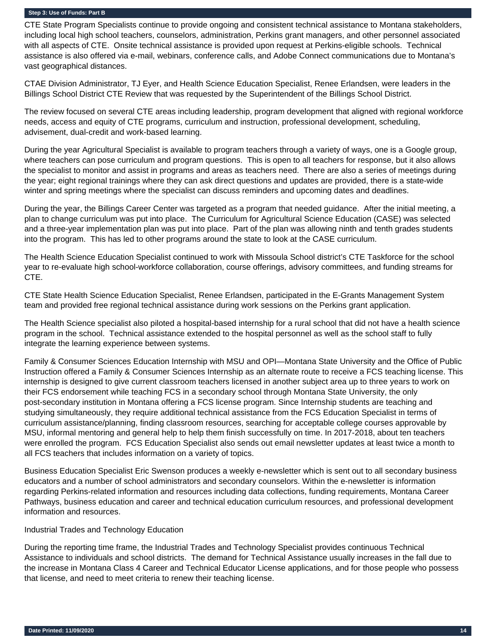CTE State Program Specialists continue to provide ongoing and consistent technical assistance to Montana stakeholders, including local high school teachers, counselors, administration, Perkins grant managers, and other personnel associated with all aspects of CTE. Onsite technical assistance is provided upon request at Perkins-eligible schools. Technical assistance is also offered via e-mail, webinars, conference calls, and Adobe Connect communications due to Montana's vast geographical distances.

CTAE Division Administrator, TJ Eyer, and Health Science Education Specialist, Renee Erlandsen, were leaders in the Billings School District CTE Review that was requested by the Superintendent of the Billings School District.

The review focused on several CTE areas including leadership, program development that aligned with regional workforce needs, access and equity of CTE programs, curriculum and instruction, professional development, scheduling, advisement, dual-credit and work-based learning.

During the year Agricultural Specialist is available to program teachers through a variety of ways, one is a Google group, where teachers can pose curriculum and program questions. This is open to all teachers for response, but it also allows the specialist to monitor and assist in programs and areas as teachers need. There are also a series of meetings during the year; eight regional trainings where they can ask direct questions and updates are provided, there is a state-wide winter and spring meetings where the specialist can discuss reminders and upcoming dates and deadlines.

During the year, the Billings Career Center was targeted as a program that needed guidance. After the initial meeting, a plan to change curriculum was put into place. The Curriculum for Agricultural Science Education (CASE) was selected and a three-year implementation plan was put into place. Part of the plan was allowing ninth and tenth grades students into the program. This has led to other programs around the state to look at the CASE curriculum.

The Health Science Education Specialist continued to work with Missoula School district's CTE Taskforce for the school year to re-evaluate high school-workforce collaboration, course offerings, advisory committees, and funding streams for CTE.

CTE State Health Science Education Specialist, Renee Erlandsen, participated in the E-Grants Management System team and provided free regional technical assistance during work sessions on the Perkins grant application.

The Health Science specialist also piloted a hospital-based internship for a rural school that did not have a health science program in the school. Technical assistance extended to the hospital personnel as well as the school staff to fully integrate the learning experience between systems.

Family & Consumer Sciences Education Internship with MSU and OPI—Montana State University and the Office of Public Instruction offered a Family & Consumer Sciences Internship as an alternate route to receive a FCS teaching license. This internship is designed to give current classroom teachers licensed in another subject area up to three years to work on their FCS endorsement while teaching FCS in a secondary school through Montana State University, the only post-secondary institution in Montana offering a FCS license program. Since Internship students are teaching and studying simultaneously, they require additional technical assistance from the FCS Education Specialist in terms of curriculum assistance/planning, finding classroom resources, searching for acceptable college courses approvable by MSU, informal mentoring and general help to help them finish successfully on time. In 2017-2018, about ten teachers were enrolled the program. FCS Education Specialist also sends out email newsletter updates at least twice a month to all FCS teachers that includes information on a variety of topics.

Business Education Specialist Eric Swenson produces a weekly e-newsletter which is sent out to all secondary business educators and a number of school administrators and secondary counselors. Within the e-newsletter is information regarding Perkins-related information and resources including data collections, funding requirements, Montana Career Pathways, business education and career and technical education curriculum resources, and professional development information and resources.

## Industrial Trades and Technology Education

During the reporting time frame, the Industrial Trades and Technology Specialist provides continuous Technical Assistance to individuals and school districts. The demand for Technical Assistance usually increases in the fall due to the increase in Montana Class 4 Career and Technical Educator License applications, and for those people who possess that license, and need to meet criteria to renew their teaching license.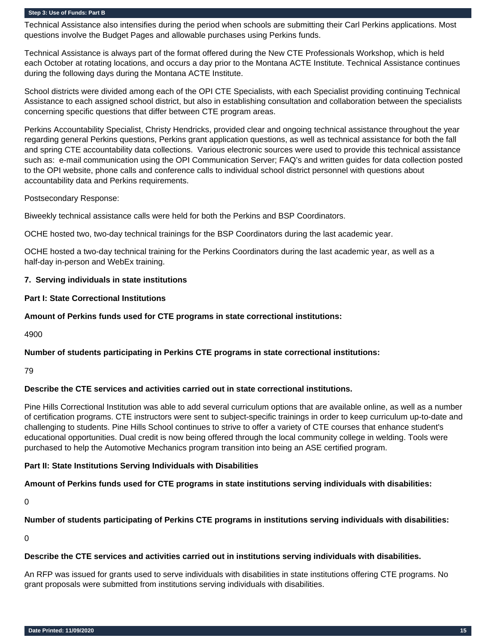Technical Assistance also intensifies during the period when schools are submitting their Carl Perkins applications. Most questions involve the Budget Pages and allowable purchases using Perkins funds.

Technical Assistance is always part of the format offered during the New CTE Professionals Workshop, which is held each October at rotating locations, and occurs a day prior to the Montana ACTE Institute. Technical Assistance continues during the following days during the Montana ACTE Institute.

School districts were divided among each of the OPI CTE Specialists, with each Specialist providing continuing Technical Assistance to each assigned school district, but also in establishing consultation and collaboration between the specialists concerning specific questions that differ between CTE program areas.

Perkins Accountability Specialist, Christy Hendricks, provided clear and ongoing technical assistance throughout the year regarding general Perkins questions, Perkins grant application questions, as well as technical assistance for both the fall and spring CTE accountability data collections. Various electronic sources were used to provide this technical assistance such as: e-mail communication using the OPI Communication Server; FAQ's and written guides for data collection posted to the OPI website, phone calls and conference calls to individual school district personnel with questions about accountability data and Perkins requirements.

Postsecondary Response:

Biweekly technical assistance calls were held for both the Perkins and BSP Coordinators.

OCHE hosted two, two-day technical trainings for the BSP Coordinators during the last academic year.

OCHE hosted a two-day technical training for the Perkins Coordinators during the last academic year, as well as a half-day in-person and WebEx training.

## **7. Serving individuals in state institutions**

**Part I: State Correctional Institutions**

#### **Amount of Perkins funds used for CTE programs in state correctional institutions:**

4900

## **Number of students participating in Perkins CTE programs in state correctional institutions:**

#### 79

#### **Describe the CTE services and activities carried out in state correctional institutions.**

Pine Hills Correctional Institution was able to add several curriculum options that are available online, as well as a number of certification programs. CTE instructors were sent to subject-specific trainings in order to keep curriculum up-to-date and challenging to students. Pine Hills School continues to strive to offer a variety of CTE courses that enhance student's educational opportunities. Dual credit is now being offered through the local community college in welding. Tools were purchased to help the Automotive Mechanics program transition into being an ASE certified program.

## **Part II: State Institutions Serving Individuals with Disabilities**

#### **Amount of Perkins funds used for CTE programs in state institutions serving individuals with disabilities:**

0

## **Number of students participating of Perkins CTE programs in institutions serving individuals with disabilities:**

0

## **Describe the CTE services and activities carried out in institutions serving individuals with disabilities.**

An RFP was issued for grants used to serve individuals with disabilities in state institutions offering CTE programs. No grant proposals were submitted from institutions serving individuals with disabilities.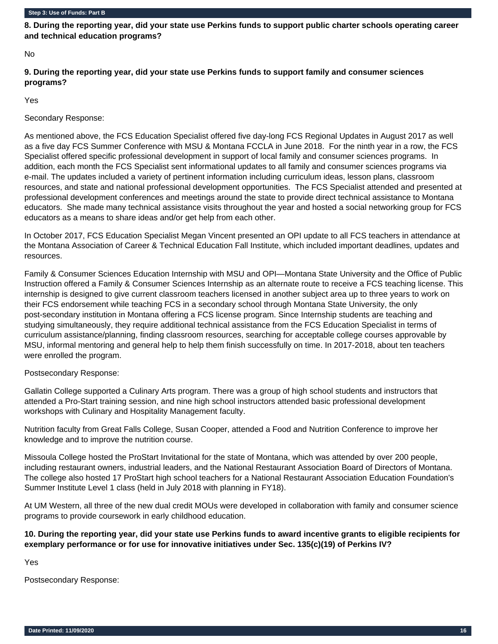**8. During the reporting year, did your state use Perkins funds to support public charter schools operating career and technical education programs?** 

No

**9. During the reporting year, did your state use Perkins funds to support family and consumer sciences programs?** 

Yes

Secondary Response:

As mentioned above, the FCS Education Specialist offered five day-long FCS Regional Updates in August 2017 as well as a five day FCS Summer Conference with MSU & Montana FCCLA in June 2018. For the ninth year in a row, the FCS Specialist offered specific professional development in support of local family and consumer sciences programs. In addition, each month the FCS Specialist sent informational updates to all family and consumer sciences programs via e-mail. The updates included a variety of pertinent information including curriculum ideas, lesson plans, classroom resources, and state and national professional development opportunities. The FCS Specialist attended and presented at professional development conferences and meetings around the state to provide direct technical assistance to Montana educators. She made many technical assistance visits throughout the year and hosted a social networking group for FCS educators as a means to share ideas and/or get help from each other.

In October 2017, FCS Education Specialist Megan Vincent presented an OPI update to all FCS teachers in attendance at the Montana Association of Career & Technical Education Fall Institute, which included important deadlines, updates and resources.

Family & Consumer Sciences Education Internship with MSU and OPI—Montana State University and the Office of Public Instruction offered a Family & Consumer Sciences Internship as an alternate route to receive a FCS teaching license. This internship is designed to give current classroom teachers licensed in another subject area up to three years to work on their FCS endorsement while teaching FCS in a secondary school through Montana State University, the only post-secondary institution in Montana offering a FCS license program. Since Internship students are teaching and studying simultaneously, they require additional technical assistance from the FCS Education Specialist in terms of curriculum assistance/planning, finding classroom resources, searching for acceptable college courses approvable by MSU, informal mentoring and general help to help them finish successfully on time. In 2017-2018, about ten teachers were enrolled the program.

## Postsecondary Response:

Gallatin College supported a Culinary Arts program. There was a group of high school students and instructors that attended a Pro-Start training session, and nine high school instructors attended basic professional development workshops with Culinary and Hospitality Management faculty.

Nutrition faculty from Great Falls College, Susan Cooper, attended a Food and Nutrition Conference to improve her knowledge and to improve the nutrition course.

Missoula College hosted the ProStart Invitational for the state of Montana, which was attended by over 200 people, including restaurant owners, industrial leaders, and the National Restaurant Association Board of Directors of Montana. The college also hosted 17 ProStart high school teachers for a National Restaurant Association Education Foundation's Summer Institute Level 1 class (held in July 2018 with planning in FY18).

At UM Western, all three of the new dual credit MOUs were developed in collaboration with family and consumer science programs to provide coursework in early childhood education.

**10. During the reporting year, did your state use Perkins funds to award incentive grants to eligible recipients for exemplary performance or for use for innovative initiatives under Sec. 135(c)(19) of Perkins IV?**

Yes

Postsecondary Response: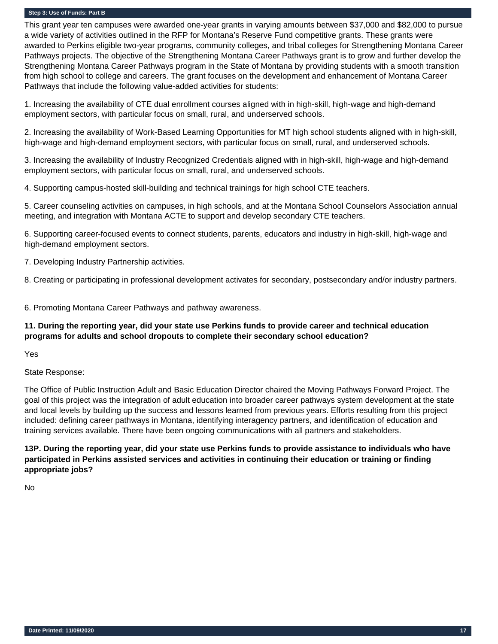This grant year ten campuses were awarded one-year grants in varying amounts between \$37,000 and \$82,000 to pursue a wide variety of activities outlined in the RFP for Montana's Reserve Fund competitive grants. These grants were awarded to Perkins eligible two-year programs, community colleges, and tribal colleges for Strengthening Montana Career Pathways projects. The objective of the Strengthening Montana Career Pathways grant is to grow and further develop the Strengthening Montana Career Pathways program in the State of Montana by providing students with a smooth transition from high school to college and careers. The grant focuses on the development and enhancement of Montana Career Pathways that include the following value-added activities for students:

1. Increasing the availability of CTE dual enrollment courses aligned with in high-skill, high-wage and high-demand employment sectors, with particular focus on small, rural, and underserved schools.

2. Increasing the availability of Work-Based Learning Opportunities for MT high school students aligned with in high-skill, high-wage and high-demand employment sectors, with particular focus on small, rural, and underserved schools.

3. Increasing the availability of Industry Recognized Credentials aligned with in high-skill, high-wage and high-demand employment sectors, with particular focus on small, rural, and underserved schools.

4. Supporting campus-hosted skill-building and technical trainings for high school CTE teachers.

5. Career counseling activities on campuses, in high schools, and at the Montana School Counselors Association annual meeting, and integration with Montana ACTE to support and develop secondary CTE teachers.

6. Supporting career-focused events to connect students, parents, educators and industry in high-skill, high-wage and high-demand employment sectors.

7. Developing Industry Partnership activities.

8. Creating or participating in professional development activates for secondary, postsecondary and/or industry partners.

6. Promoting Montana Career Pathways and pathway awareness.

## **11. During the reporting year, did your state use Perkins funds to provide career and technical education programs for adults and school dropouts to complete their secondary school education?**

Yes

State Response:

The Office of Public Instruction Adult and Basic Education Director chaired the Moving Pathways Forward Project. The goal of this project was the integration of adult education into broader career pathways system development at the state and local levels by building up the success and lessons learned from previous years. Efforts resulting from this project included: defining career pathways in Montana, identifying interagency partners, and identification of education and training services available. There have been ongoing communications with all partners and stakeholders.

**13P. During the reporting year, did your state use Perkins funds to provide assistance to individuals who have participated in Perkins assisted services and activities in continuing their education or training or finding appropriate jobs?** 

No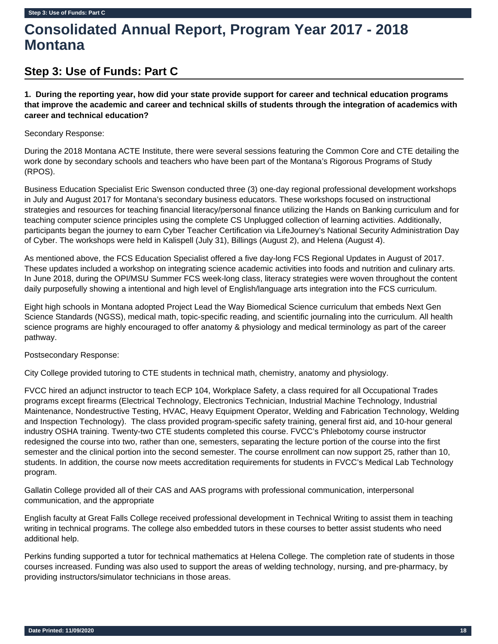# **Consolidated Annual Report, Program Year 2017 - 2018 Montana**

## **Step 3: Use of Funds: Part C**

**1. During the reporting year, how did your state provide support for career and technical education programs that improve the academic and career and technical skills of students through the integration of academics with career and technical education?** 

## Secondary Response:

During the 2018 Montana ACTE Institute, there were several sessions featuring the Common Core and CTE detailing the work done by secondary schools and teachers who have been part of the Montana's Rigorous Programs of Study (RPOS).

Business Education Specialist Eric Swenson conducted three (3) one-day regional professional development workshops in July and August 2017 for Montana's secondary business educators. These workshops focused on instructional strategies and resources for teaching financial literacy/personal finance utilizing the Hands on Banking curriculum and for teaching computer science principles using the complete CS Unplugged collection of learning activities. Additionally, participants began the journey to earn Cyber Teacher Certification via LifeJourney's National Security Administration Day of Cyber. The workshops were held in Kalispell (July 31), Billings (August 2), and Helena (August 4).

As mentioned above, the FCS Education Specialist offered a five day-long FCS Regional Updates in August of 2017. These updates included a workshop on integrating science academic activities into foods and nutrition and culinary arts. In June 2018, during the OPI/MSU Summer FCS week-long class, literacy strategies were woven throughout the content daily purposefully showing a intentional and high level of English/language arts integration into the FCS curriculum.

Eight high schools in Montana adopted Project Lead the Way Biomedical Science curriculum that embeds Next Gen Science Standards (NGSS), medical math, topic-specific reading, and scientific journaling into the curriculum. All health science programs are highly encouraged to offer anatomy & physiology and medical terminology as part of the career pathway.

## Postsecondary Response:

City College provided tutoring to CTE students in technical math, chemistry, anatomy and physiology.

FVCC hired an adjunct instructor to teach ECP 104, Workplace Safety, a class required for all Occupational Trades programs except firearms (Electrical Technology, Electronics Technician, Industrial Machine Technology, Industrial Maintenance, Nondestructive Testing, HVAC, Heavy Equipment Operator, Welding and Fabrication Technology, Welding and Inspection Technology). The class provided program-specific safety training, general first aid, and 10-hour general industry OSHA training. Twenty-two CTE students completed this course. FVCC's Phlebotomy course instructor redesigned the course into two, rather than one, semesters, separating the lecture portion of the course into the first semester and the clinical portion into the second semester. The course enrollment can now support 25, rather than 10, students. In addition, the course now meets accreditation requirements for students in FVCC's Medical Lab Technology program.

Gallatin College provided all of their CAS and AAS programs with professional communication, interpersonal communication, and the appropriate

English faculty at Great Falls College received professional development in Technical Writing to assist them in teaching writing in technical programs. The college also embedded tutors in these courses to better assist students who need additional help.

Perkins funding supported a tutor for technical mathematics at Helena College. The completion rate of students in those courses increased. Funding was also used to support the areas of welding technology, nursing, and pre-pharmacy, by providing instructors/simulator technicians in those areas.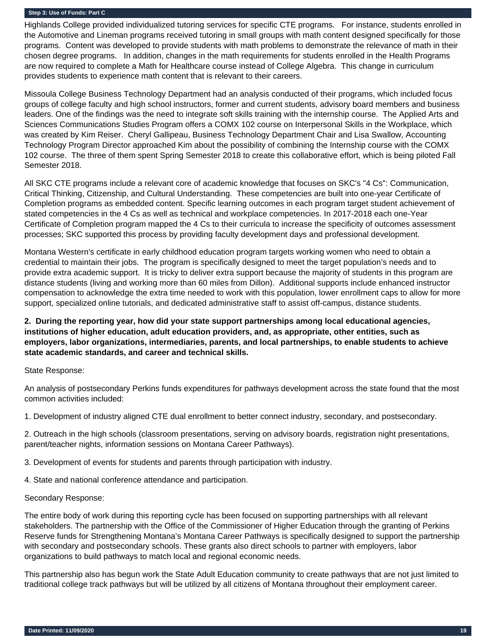Highlands College provided individualized tutoring services for specific CTE programs. For instance, students enrolled in the Automotive and Lineman programs received tutoring in small groups with math content designed specifically for those programs. Content was developed to provide students with math problems to demonstrate the relevance of math in their chosen degree programs. In addition, changes in the math requirements for students enrolled in the Health Programs are now required to complete a Math for Healthcare course instead of College Algebra. This change in curriculum provides students to experience math content that is relevant to their careers.

Missoula College Business Technology Department had an analysis conducted of their programs, which included focus groups of college faculty and high school instructors, former and current students, advisory board members and business leaders. One of the findings was the need to integrate soft skills training with the internship course. The Applied Arts and Sciences Communications Studies Program offers a COMX 102 course on Interpersonal Skills in the Workplace, which was created by Kim Reiser. Cheryl Gallipeau, Business Technology Department Chair and Lisa Swallow, Accounting Technology Program Director approached Kim about the possibility of combining the Internship course with the COMX 102 course. The three of them spent Spring Semester 2018 to create this collaborative effort, which is being piloted Fall Semester 2018.

All SKC CTE programs include a relevant core of academic knowledge that focuses on SKC's "4 Cs": Communication, Critical Thinking, Citizenship, and Cultural Understanding. These competencies are built into one-year Certificate of Completion programs as embedded content. Specific learning outcomes in each program target student achievement of stated competencies in the 4 Cs as well as technical and workplace competencies. In 2017-2018 each one-Year Certificate of Completion program mapped the 4 Cs to their curricula to increase the specificity of outcomes assessment processes; SKC supported this process by providing faculty development days and professional development.

Montana Western's certificate in early childhood education program targets working women who need to obtain a credential to maintain their jobs. The program is specifically designed to meet the target population's needs and to provide extra academic support. It is tricky to deliver extra support because the majority of students in this program are distance students (living and working more than 60 miles from Dillon). Additional supports include enhanced instructor compensation to acknowledge the extra time needed to work with this population, lower enrollment caps to allow for more support, specialized online tutorials, and dedicated administrative staff to assist off-campus, distance students.

## **2. During the reporting year, how did your state support partnerships among local educational agencies, institutions of higher education, adult education providers, and, as appropriate, other entities, such as employers, labor organizations, intermediaries, parents, and local partnerships, to enable students to achieve state academic standards, and career and technical skills.**

## State Response:

An analysis of postsecondary Perkins funds expenditures for pathways development across the state found that the most common activities included:

1. Development of industry aligned CTE dual enrollment to better connect industry, secondary, and postsecondary.

2. Outreach in the high schools (classroom presentations, serving on advisory boards, registration night presentations, parent/teacher nights, information sessions on Montana Career Pathways).

3. Development of events for students and parents through participation with industry.

4. State and national conference attendance and participation.

#### Secondary Response:

The entire body of work during this reporting cycle has been focused on supporting partnerships with all relevant stakeholders. The partnership with the Office of the Commissioner of Higher Education through the granting of Perkins Reserve funds for Strengthening Montana's Montana Career Pathways is specifically designed to support the partnership with secondary and postsecondary schools. These grants also direct schools to partner with employers, labor organizations to build pathways to match local and regional economic needs.

This partnership also has begun work the State Adult Education community to create pathways that are not just limited to traditional college track pathways but will be utilized by all citizens of Montana throughout their employment career.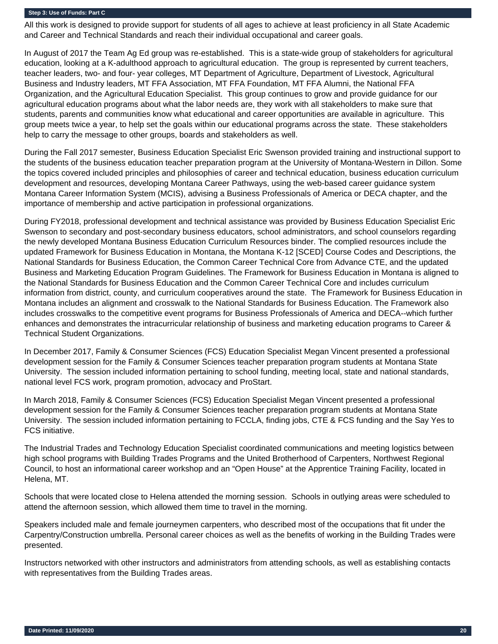All this work is designed to provide support for students of all ages to achieve at least proficiency in all State Academic and Career and Technical Standards and reach their individual occupational and career goals.

In August of 2017 the Team Ag Ed group was re-established. This is a state-wide group of stakeholders for agricultural education, looking at a K-adulthood approach to agricultural education. The group is represented by current teachers, teacher leaders, two- and four- year colleges, MT Department of Agriculture, Department of Livestock, Agricultural Business and Industry leaders, MT FFA Association, MT FFA Foundation, MT FFA Alumni, the National FFA Organization, and the Agricultural Education Specialist. This group continues to grow and provide guidance for our agricultural education programs about what the labor needs are, they work with all stakeholders to make sure that students, parents and communities know what educational and career opportunities are available in agriculture. This group meets twice a year, to help set the goals within our educational programs across the state. These stakeholders help to carry the message to other groups, boards and stakeholders as well.

During the Fall 2017 semester, Business Education Specialist Eric Swenson provided training and instructional support to the students of the business education teacher preparation program at the University of Montana-Western in Dillon. Some the topics covered included principles and philosophies of career and technical education, business education curriculum development and resources, developing Montana Career Pathways, using the web-based career guidance system Montana Career Information System (MCIS), advising a Business Professionals of America or DECA chapter, and the importance of membership and active participation in professional organizations.

During FY2018, professional development and technical assistance was provided by Business Education Specialist Eric Swenson to secondary and post-secondary business educators, school administrators, and school counselors regarding the newly developed Montana Business Education Curriculum Resources binder. The complied resources include the updated Framework for Business Education in Montana, the Montana K-12 [SCED] Course Codes and Descriptions, the National Standards for Business Education, the Common Career Technical Core from Advance CTE, and the updated Business and Marketing Education Program Guidelines. The Framework for Business Education in Montana is aligned to the National Standards for Business Education and the Common Career Technical Core and includes curriculum information from district, county, and curriculum cooperatives around the state. The Framework for Business Education in Montana includes an alignment and crosswalk to the National Standards for Business Education. The Framework also includes crosswalks to the competitive event programs for Business Professionals of America and DECA--which further enhances and demonstrates the intracurricular relationship of business and marketing education programs to Career & Technical Student Organizations.

In December 2017, Family & Consumer Sciences (FCS) Education Specialist Megan Vincent presented a professional development session for the Family & Consumer Sciences teacher preparation program students at Montana State University. The session included information pertaining to school funding, meeting local, state and national standards, national level FCS work, program promotion, advocacy and ProStart.

In March 2018, Family & Consumer Sciences (FCS) Education Specialist Megan Vincent presented a professional development session for the Family & Consumer Sciences teacher preparation program students at Montana State University. The session included information pertaining to FCCLA, finding jobs, CTE & FCS funding and the Say Yes to FCS initiative.

The Industrial Trades and Technology Education Specialist coordinated communications and meeting logistics between high school programs with Building Trades Programs and the United Brotherhood of Carpenters, Northwest Regional Council, to host an informational career workshop and an "Open House" at the Apprentice Training Facility, located in Helena, MT.

Schools that were located close to Helena attended the morning session. Schools in outlying areas were scheduled to attend the afternoon session, which allowed them time to travel in the morning.

Speakers included male and female journeymen carpenters, who described most of the occupations that fit under the Carpentry/Construction umbrella. Personal career choices as well as the benefits of working in the Building Trades were presented.

Instructors networked with other instructors and administrators from attending schools, as well as establishing contacts with representatives from the Building Trades areas.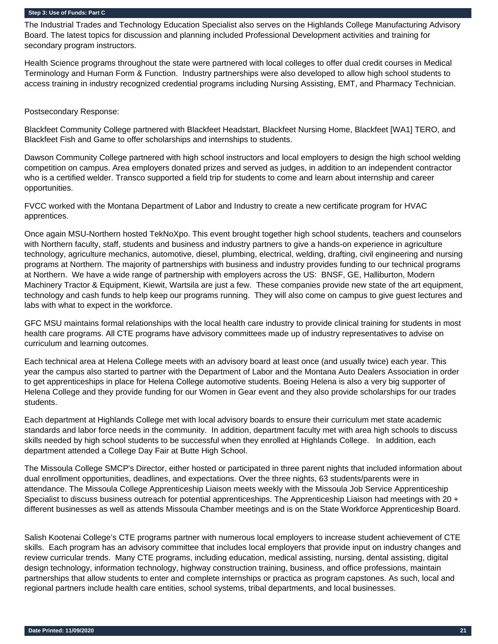The Industrial Trades and Technology Education Specialist also serves on the Highlands College Manufacturing Advisory Board. The latest topics for discussion and planning included Professional Development activities and training for secondary program instructors.

Health Science programs throughout the state were partnered with local colleges to offer dual credit courses in Medical Terminology and Human Form & Function. Industry partnerships were also developed to allow high school students to access training in industry recognized credential programs including Nursing Assisting, EMT, and Pharmacy Technician.

Postsecondary Response:

Blackfeet Community College partnered with Blackfeet Headstart, Blackfeet Nursing Home, Blackfeet [WA1] TERO, and Blackfeet Fish and Game to offer scholarships and internships to students.

Dawson Community College partnered with high school instructors and local employers to design the high school welding competition on campus. Area employers donated prizes and served as judges, in addition to an independent contractor who is a certified welder. Transco supported a field trip for students to come and learn about internship and career opportunities.

FVCC worked with the Montana Department of Labor and Industry to create a new certificate program for HVAC apprentices.

Once again MSU-Northern hosted TekNoXpo. This event brought together high school students, teachers and counselors with Northern faculty, staff, students and business and industry partners to give a hands-on experience in agriculture technology, agriculture mechanics, automotive, diesel, plumbing, electrical, welding, drafting, civil engineering and nursing programs at Northern. The majority of partnerships with business and industry provides funding to our technical programs at Northern. We have a wide range of partnership with employers across the US: BNSF, GE, Halliburton, Modern Machinery Tractor & Equipment, Kiewit, Wartsila are just a few. These companies provide new state of the art equipment, technology and cash funds to help keep our programs running. They will also come on campus to give guest lectures and labs with what to expect in the workforce.

GFC MSU maintains formal relationships with the local health care industry to provide clinical training for students in most health care programs. All CTE programs have advisory committees made up of industry representatives to advise on curriculum and learning outcomes.

Each technical area at Helena College meets with an advisory board at least once (and usually twice) each year. This year the campus also started to partner with the Department of Labor and the Montana Auto Dealers Association in order to get apprenticeships in place for Helena College automotive students. Boeing Helena is also a very big supporter of Helena College and they provide funding for our Women in Gear event and they also provide scholarships for our trades students.

Each department at Highlands College met with local advisory boards to ensure their curriculum met state academic standards and labor force needs in the community. In addition, department faculty met with area high schools to discuss skills needed by high school students to be successful when they enrolled at Highlands College. In addition, each department attended a College Day Fair at Butte High School.

The Missoula College SMCP's Director, either hosted or participated in three parent nights that included information about dual enrollment opportunities, deadlines, and expectations. Over the three nights, 63 students/parents were in attendance. The Missoula College Apprenticeship Liaison meets weekly with the Missoula Job Service Apprenticeship Specialist to discuss business outreach for potential apprenticeships. The Apprenticeship Liaison had meetings with 20  $+$ different businesses as well as attends Missoula Chamber meetings and is on the State Workforce Apprenticeship Board.

Salish Kootenai College's CTE programs partner with numerous local employers to increase student achievement of CTE skills. Each program has an advisory committee that includes local employers that provide input on industry changes and review curricular trends. Many CTE programs, including education, medical assisting, nursing, dental assisting, digital design technology, information technology, highway construction training, business, and office professions, maintain partnerships that allow students to enter and complete internships or practica as program capstones. As such, local and regional partners include health care entities, school systems, tribal departments, and local businesses.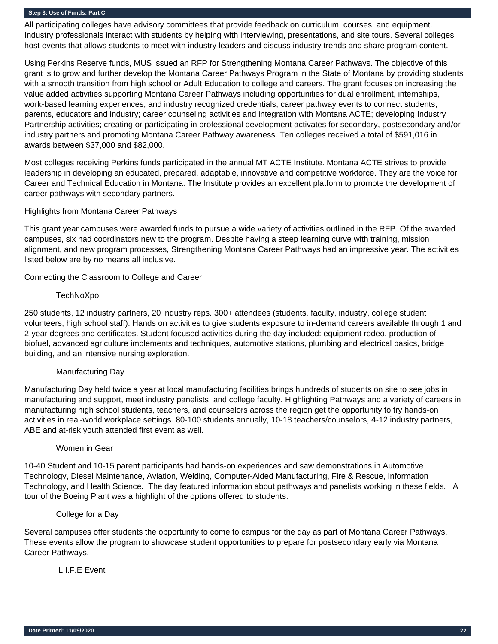All participating colleges have advisory committees that provide feedback on curriculum, courses, and equipment. Industry professionals interact with students by helping with interviewing, presentations, and site tours. Several colleges host events that allows students to meet with industry leaders and discuss industry trends and share program content.

Using Perkins Reserve funds, MUS issued an RFP for Strengthening Montana Career Pathways. The objective of this grant is to grow and further develop the Montana Career Pathways Program in the State of Montana by providing students with a smooth transition from high school or Adult Education to college and careers. The grant focuses on increasing the value added activities supporting Montana Career Pathways including opportunities for dual enrollment, internships, work-based learning experiences, and industry recognized credentials; career pathway events to connect students, parents, educators and industry; career counseling activities and integration with Montana ACTE; developing Industry Partnership activities; creating or participating in professional development activates for secondary, postsecondary and/or industry partners and promoting Montana Career Pathway awareness. Ten colleges received a total of \$591,016 in awards between \$37,000 and \$82,000.

Most colleges receiving Perkins funds participated in the annual MT ACTE Institute. Montana ACTE strives to provide leadership in developing an educated, prepared, adaptable, innovative and competitive workforce. They are the voice for Career and Technical Education in Montana. The Institute provides an excellent platform to promote the development of career pathways with secondary partners.

#### Highlights from Montana Career Pathways

This grant year campuses were awarded funds to pursue a wide variety of activities outlined in the RFP. Of the awarded campuses, six had coordinators new to the program. Despite having a steep learning curve with training, mission alignment, and new program processes, Strengthening Montana Career Pathways had an impressive year. The activities listed below are by no means all inclusive.

Connecting the Classroom to College and Career

#### TechNoXpo

250 students, 12 industry partners, 20 industry reps. 300+ attendees (students, faculty, industry, college student volunteers, high school staff). Hands on activities to give students exposure to in-demand careers available through 1 and 2-year degrees and certificates. Student focused activities during the day included: equipment rodeo, production of biofuel, advanced agriculture implements and techniques, automotive stations, plumbing and electrical basics, bridge building, and an intensive nursing exploration.

## Manufacturing Day

Manufacturing Day held twice a year at local manufacturing facilities brings hundreds of students on site to see jobs in manufacturing and support, meet industry panelists, and college faculty. Highlighting Pathways and a variety of careers in manufacturing high school students, teachers, and counselors across the region get the opportunity to try hands-on activities in real-world workplace settings. 80-100 students annually, 10-18 teachers/counselors, 4-12 industry partners, ABE and at-risk youth attended first event as well.

#### Women in Gear

10-40 Student and 10-15 parent participants had hands-on experiences and saw demonstrations in Automotive Technology, Diesel Maintenance, Aviation, Welding, Computer-Aided Manufacturing, Fire & Rescue, Information Technology, and Health Science. The day featured information about pathways and panelists working in these fields. A tour of the Boeing Plant was a highlight of the options offered to students.

#### College for a Day

Several campuses offer students the opportunity to come to campus for the day as part of Montana Career Pathways. These events allow the program to showcase student opportunities to prepare for postsecondary early via Montana Career Pathways.

## L.I.F.E Event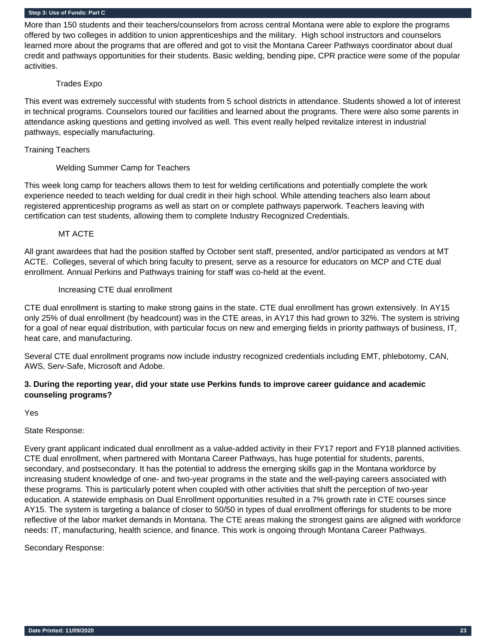More than 150 students and their teachers/counselors from across central Montana were able to explore the programs offered by two colleges in addition to union apprenticeships and the military. High school instructors and counselors learned more about the programs that are offered and got to visit the Montana Career Pathways coordinator about dual credit and pathways opportunities for their students. Basic welding, bending pipe, CPR practice were some of the popular activities.

#### Trades Expo

This event was extremely successful with students from 5 school districts in attendance. Students showed a lot of interest in technical programs. Counselors toured our facilities and learned about the programs. There were also some parents in attendance asking questions and getting involved as well. This event really helped revitalize interest in industrial pathways, especially manufacturing.

#### Training Teachers

## Welding Summer Camp for Teachers

This week long camp for teachers allows them to test for welding certifications and potentially complete the work experience needed to teach welding for dual credit in their high school. While attending teachers also learn about registered apprenticeship programs as well as start on or complete pathways paperwork. Teachers leaving with certification can test students, allowing them to complete Industry Recognized Credentials.

#### MT ACTE

All grant awardees that had the position staffed by October sent staff, presented, and/or participated as vendors at MT ACTE. Colleges, several of which bring faculty to present, serve as a resource for educators on MCP and CTE dual enrollment. Annual Perkins and Pathways training for staff was co-held at the event.

#### Increasing CTE dual enrollment

CTE dual enrollment is starting to make strong gains in the state. CTE dual enrollment has grown extensively. In AY15 only 25% of dual enrollment (by headcount) was in the CTE areas, in AY17 this had grown to 32%. The system is striving for a goal of near equal distribution, with particular focus on new and emerging fields in priority pathways of business, IT, heat care, and manufacturing.

Several CTE dual enrollment programs now include industry recognized credentials including EMT, phlebotomy, CAN, AWS, Serv-Safe, Microsoft and Adobe.

## **3. During the reporting year, did your state use Perkins funds to improve career guidance and academic counseling programs?**

Yes

State Response:

Every grant applicant indicated dual enrollment as a value-added activity in their FY17 report and FY18 planned activities. CTE dual enrollment, when partnered with Montana Career Pathways, has huge potential for students, parents, secondary, and postsecondary. It has the potential to address the emerging skills gap in the Montana workforce by increasing student knowledge of one- and two-year programs in the state and the well-paying careers associated with these programs. This is particularly potent when coupled with other activities that shift the perception of two-year education. A statewide emphasis on Dual Enrollment opportunities resulted in a 7% growth rate in CTE courses since AY15. The system is targeting a balance of closer to 50/50 in types of dual enrollment offerings for students to be more reflective of the labor market demands in Montana. The CTE areas making the strongest gains are aligned with workforce needs: IT, manufacturing, health science, and finance. This work is ongoing through Montana Career Pathways.

Secondary Response: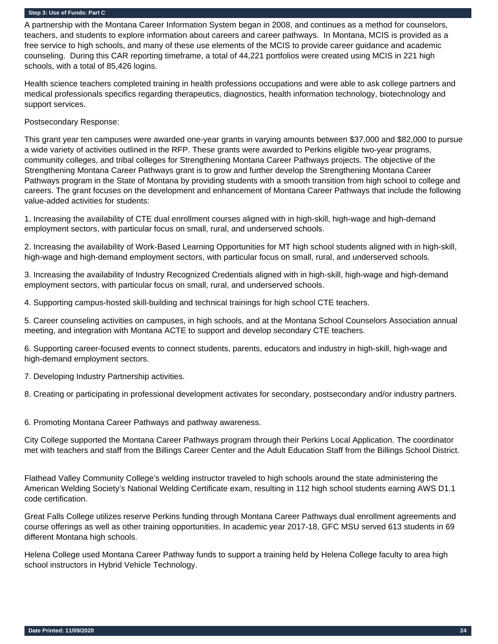A partnership with the Montana Career Information System began in 2008, and continues as a method for counselors, teachers, and students to explore information about careers and career pathways. In Montana, MCIS is provided as a free service to high schools, and many of these use elements of the MCIS to provide career guidance and academic counseling. During this CAR reporting timeframe, a total of 44,221 portfolios were created using MCIS in 221 high schools, with a total of 85,426 logins.

Health science teachers completed training in health professions occupations and were able to ask college partners and medical professionals specifics regarding therapeutics, diagnostics, health information technology, biotechnology and support services.

Postsecondary Response:

This grant year ten campuses were awarded one-year grants in varying amounts between \$37,000 and \$82,000 to pursue a wide variety of activities outlined in the RFP. These grants were awarded to Perkins eligible two-year programs, community colleges, and tribal colleges for Strengthening Montana Career Pathways projects. The objective of the Strengthening Montana Career Pathways grant is to grow and further develop the Strengthening Montana Career Pathways program in the State of Montana by providing students with a smooth transition from high school to college and careers. The grant focuses on the development and enhancement of Montana Career Pathways that include the following value-added activities for students:

1. Increasing the availability of CTE dual enrollment courses aligned with in high-skill, high-wage and high-demand employment sectors, with particular focus on small, rural, and underserved schools.

2. Increasing the availability of Work-Based Learning Opportunities for MT high school students aligned with in high-skill, high-wage and high-demand employment sectors, with particular focus on small, rural, and underserved schools.

3. Increasing the availability of Industry Recognized Credentials aligned with in high-skill, high-wage and high-demand employment sectors, with particular focus on small, rural, and underserved schools.

4. Supporting campus-hosted skill-building and technical trainings for high school CTE teachers.

5. Career counseling activities on campuses, in high schools, and at the Montana School Counselors Association annual meeting, and integration with Montana ACTE to support and develop secondary CTE teachers.

6. Supporting career-focused events to connect students, parents, educators and industry in high-skill, high-wage and high-demand employment sectors.

7. Developing Industry Partnership activities.

8. Creating or participating in professional development activates for secondary, postsecondary and/or industry partners.

6. Promoting Montana Career Pathways and pathway awareness.

City College supported the Montana Career Pathways program through their Perkins Local Application. The coordinator met with teachers and staff from the Billings Career Center and the Adult Education Staff from the Billings School District.

Flathead Valley Community College's welding instructor traveled to high schools around the state administering the American Welding Society's National Welding Certificate exam, resulting in 112 high school students earning AWS D1.1 code certification.

Great Falls College utilizes reserve Perkins funding through Montana Career Pathways dual enrollment agreements and course offerings as well as other training opportunities. In academic year 2017-18, GFC MSU served 613 students in 69 different Montana high schools.

Helena College used Montana Career Pathway funds to support a training held by Helena College faculty to area high school instructors in Hybrid Vehicle Technology.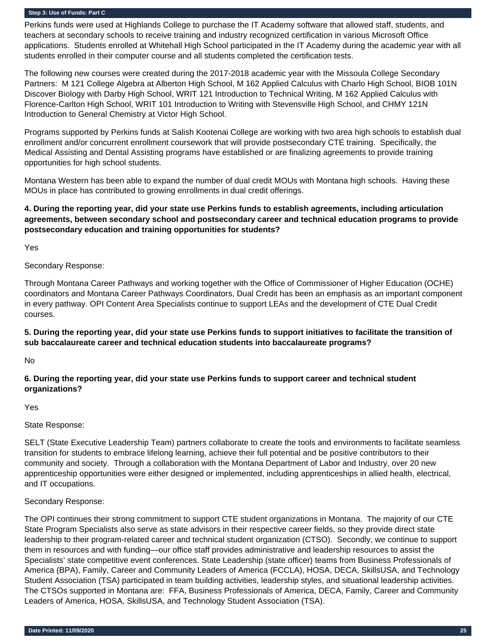Perkins funds were used at Highlands College to purchase the IT Academy software that allowed staff, students, and teachers at secondary schools to receive training and industry recognized certification in various Microsoft Office applications. Students enrolled at Whitehall High School participated in the IT Academy during the academic year with all students enrolled in their computer course and all students completed the certification tests.

The following new courses were created during the 2017-2018 academic year with the Missoula College Secondary Partners: M 121 College Algebra at Alberton High School, M 162 Applied Calculus with Charlo High School, BIOB 101N Discover Biology with Darby High School, WRIT 121 Introduction to Technical Writing, M 162 Applied Calculus with Florence-Carlton High School, WRIT 101 Introduction to Writing with Stevensville High School, and CHMY 121N Introduction to General Chemistry at Victor High School.

Programs supported by Perkins funds at Salish Kootenai College are working with two area high schools to establish dual enrollment and/or concurrent enrollment coursework that will provide postsecondary CTE training. Specifically, the Medical Assisting and Dental Assisting programs have established or are finalizing agreements to provide training opportunities for high school students.

Montana Western has been able to expand the number of dual credit MOUs with Montana high schools. Having these MOUs in place has contributed to growing enrollments in dual credit offerings.

## **4. During the reporting year, did your state use Perkins funds to establish agreements, including articulation agreements, between secondary school and postsecondary career and technical education programs to provide postsecondary education and training opportunities for students?**

Yes

Secondary Response:

Through Montana Career Pathways and working together with the Office of Commissioner of Higher Education (OCHE) coordinators and Montana Career Pathways Coordinators, Dual Credit has been an emphasis as an important component in every pathway. OPI Content Area Specialists continue to support LEAs and the development of CTE Dual Credit courses.

## **5. During the reporting year, did your state use Perkins funds to support initiatives to facilitate the transition of sub baccalaureate career and technical education students into baccalaureate programs?**

No

## **6. During the reporting year, did your state use Perkins funds to support career and technical student organizations?**

Yes

## State Response:

SELT (State Executive Leadership Team) partners collaborate to create the tools and environments to facilitate seamless transition for students to embrace lifelong learning, achieve their full potential and be positive contributors to their community and society. Through a collaboration with the Montana Department of Labor and Industry, over 20 new apprenticeship opportunities were either designed or implemented, including apprenticeships in allied health, electrical, and IT occupations.

## Secondary Response:

The OPI continues their strong commitment to support CTE student organizations in Montana. The majority of our CTE State Program Specialists also serve as state advisors in their respective career fields, so they provide direct state leadership to their program-related career and technical student organization (CTSO). Secondly, we continue to support them in resources and with funding—our office staff provides administrative and leadership resources to assist the Specialists' state competitive event conferences. State Leadership (state officer) teams from Business Professionals of America (BPA), Family, Career and Community Leaders of America (FCCLA), HOSA, DECA, SkillsUSA, and Technology Student Association (TSA) participated in team building activities, leadership styles, and situational leadership activities. The CTSOs supported in Montana are: FFA, Business Professionals of America, DECA, Family, Career and Community Leaders of America, HOSA, SkillsUSA, and Technology Student Association (TSA).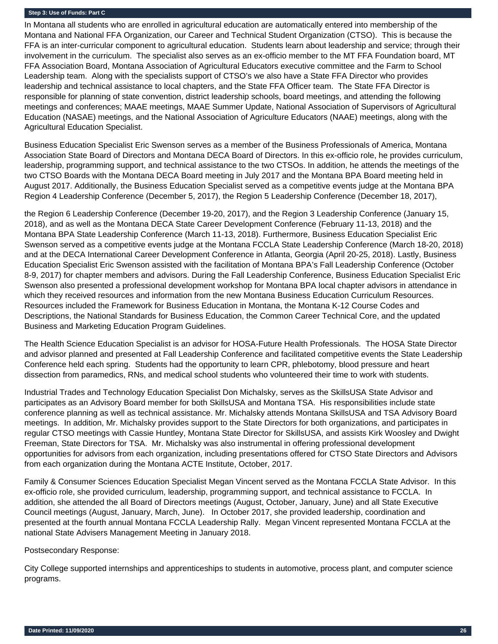In Montana all students who are enrolled in agricultural education are automatically entered into membership of the Montana and National FFA Organization, our Career and Technical Student Organization (CTSO). This is because the FFA is an inter-curricular component to agricultural education. Students learn about leadership and service; through their involvement in the curriculum. The specialist also serves as an ex-officio member to the MT FFA Foundation board, MT FFA Association Board, Montana Association of Agricultural Educators executive committee and the Farm to School Leadership team. Along with the specialists support of CTSO's we also have a State FFA Director who provides leadership and technical assistance to local chapters, and the State FFA Officer team. The State FFA Director is responsible for planning of state convention, district leadership schools, board meetings, and attending the following meetings and conferences; MAAE meetings, MAAE Summer Update, National Association of Supervisors of Agricultural Education (NASAE) meetings, and the National Association of Agriculture Educators (NAAE) meetings, along with the Agricultural Education Specialist.

Business Education Specialist Eric Swenson serves as a member of the Business Professionals of America, Montana Association State Board of Directors and Montana DECA Board of Directors. In this ex-officio role, he provides curriculum, leadership, programming support, and technical assistance to the two CTSOs. In addition, he attends the meetings of the two CTSO Boards with the Montana DECA Board meeting in July 2017 and the Montana BPA Board meeting held in August 2017. Additionally, the Business Education Specialist served as a competitive events judge at the Montana BPA Region 4 Leadership Conference (December 5, 2017), the Region 5 Leadership Conference (December 18, 2017),

the Region 6 Leadership Conference (December 19-20, 2017), and the Region 3 Leadership Conference (January 15, 2018), and as well as the Montana DECA State Career Development Conference (February 11-13, 2018) and the Montana BPA State Leadership Conference (March 11-13, 2018). Furthermore, Business Education Specialist Eric Swenson served as a competitive events judge at the Montana FCCLA State Leadership Conference (March 18-20, 2018) and at the DECA International Career Development Conference in Atlanta, Georgia (April 20-25, 2018). Lastly, Business Education Specialist Eric Swenson assisted with the facilitation of Montana BPA's Fall Leadership Conference (October 8-9, 2017) for chapter members and advisors. During the Fall Leadership Conference, Business Education Specialist Eric Swenson also presented a professional development workshop for Montana BPA local chapter advisors in attendance in which they received resources and information from the new Montana Business Education Curriculum Resources. Resources included the Framework for Business Education in Montana, the Montana K-12 Course Codes and Descriptions, the National Standards for Business Education, the Common Career Technical Core, and the updated Business and Marketing Education Program Guidelines.

The Health Science Education Specialist is an advisor for HOSA-Future Health Professionals. The HOSA State Director and advisor planned and presented at Fall Leadership Conference and facilitated competitive events the State Leadership Conference held each spring. Students had the opportunity to learn CPR, phlebotomy, blood pressure and heart dissection from paramedics, RNs, and medical school students who volunteered their time to work with students.

Industrial Trades and Technology Education Specialist Don Michalsky, serves as the SkillsUSA State Advisor and participates as an Advisory Board member for both SkillsUSA and Montana TSA. His responsibilities include state conference planning as well as technical assistance. Mr. Michalsky attends Montana SkillsUSA and TSA Advisory Board meetings. In addition, Mr. Michalsky provides support to the State Directors for both organizations, and participates in regular CTSO meetings with Cassie Huntley, Montana State Director for SkillsUSA, and assists Kirk Woosley and Dwight Freeman, State Directors for TSA. Mr. Michalsky was also instrumental in offering professional development opportunities for advisors from each organization, including presentations offered for CTSO State Directors and Advisors from each organization during the Montana ACTE Institute, October, 2017.

Family & Consumer Sciences Education Specialist Megan Vincent served as the Montana FCCLA State Advisor. In this ex-officio role, she provided curriculum, leadership, programming support, and technical assistance to FCCLA. In addition, she attended the all Board of Directors meetings (August, October, January, June) and all State Executive Council meetings (August, January, March, June). In October 2017, she provided leadership, coordination and presented at the fourth annual Montana FCCLA Leadership Rally. Megan Vincent represented Montana FCCLA at the national State Advisers Management Meeting in January 2018.

Postsecondary Response:

City College supported internships and apprenticeships to students in automotive, process plant, and computer science programs.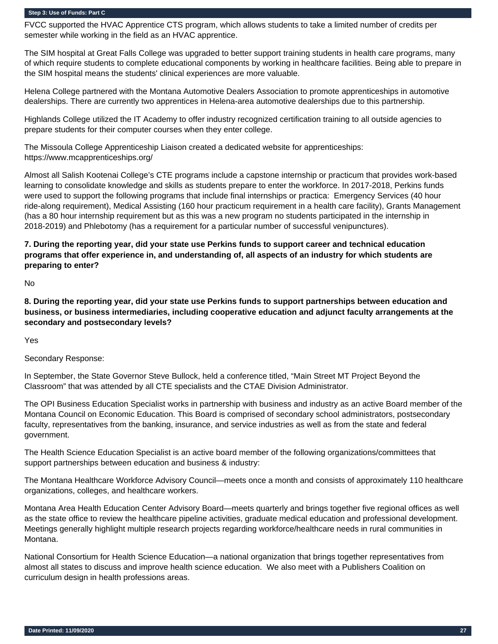FVCC supported the HVAC Apprentice CTS program, which allows students to take a limited number of credits per semester while working in the field as an HVAC apprentice.

The SIM hospital at Great Falls College was upgraded to better support training students in health care programs, many of which require students to complete educational components by working in healthcare facilities. Being able to prepare in the SIM hospital means the students' clinical experiences are more valuable.

Helena College partnered with the Montana Automotive Dealers Association to promote apprenticeships in automotive dealerships. There are currently two apprentices in Helena-area automotive dealerships due to this partnership.

Highlands College utilized the IT Academy to offer industry recognized certification training to all outside agencies to prepare students for their computer courses when they enter college.

The Missoula College Apprenticeship Liaison created a dedicated website for apprenticeships: https://www.mcapprenticeships.org/

Almost all Salish Kootenai College's CTE programs include a capstone internship or practicum that provides work-based learning to consolidate knowledge and skills as students prepare to enter the workforce. In 2017-2018, Perkins funds were used to support the following programs that include final internships or practica: Emergency Services (40 hour ride-along requirement), Medical Assisting (160 hour practicum requirement in a health care facility), Grants Management (has a 80 hour internship requirement but as this was a new program no students participated in the internship in 2018-2019) and Phlebotomy (has a requirement for a particular number of successful venipunctures).

## **7. During the reporting year, did your state use Perkins funds to support career and technical education programs that offer experience in, and understanding of, all aspects of an industry for which students are preparing to enter?**

No

**8. During the reporting year, did your state use Perkins funds to support partnerships between education and business, or business intermediaries, including cooperative education and adjunct faculty arrangements at the secondary and postsecondary levels?** 

Yes

Secondary Response:

In September, the State Governor Steve Bullock, held a conference titled, "Main Street MT Project Beyond the Classroom" that was attended by all CTE specialists and the CTAE Division Administrator.

The OPI Business Education Specialist works in partnership with business and industry as an active Board member of the Montana Council on Economic Education. This Board is comprised of secondary school administrators, postsecondary faculty, representatives from the banking, insurance, and service industries as well as from the state and federal government.

The Health Science Education Specialist is an active board member of the following organizations/committees that support partnerships between education and business & industry:

The Montana Healthcare Workforce Advisory Council—meets once a month and consists of approximately 110 healthcare organizations, colleges, and healthcare workers.

Montana Area Health Education Center Advisory Board—meets quarterly and brings together five regional offices as well as the state office to review the healthcare pipeline activities, graduate medical education and professional development. Meetings generally highlight multiple research projects regarding workforce/healthcare needs in rural communities in Montana.

National Consortium for Health Science Education—a national organization that brings together representatives from almost all states to discuss and improve health science education. We also meet with a Publishers Coalition on curriculum design in health professions areas.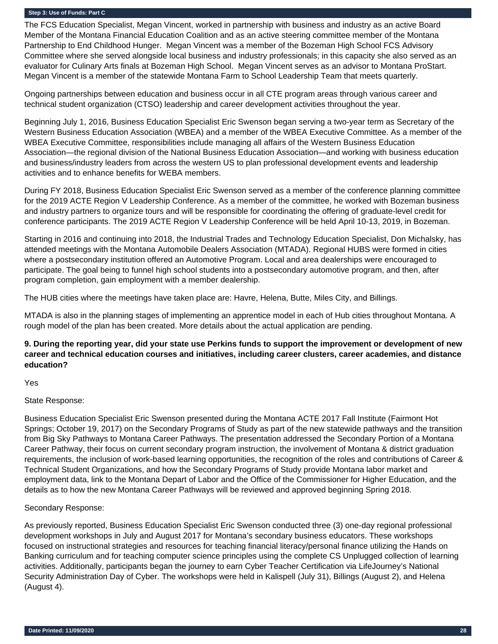The FCS Education Specialist, Megan Vincent, worked in partnership with business and industry as an active Board Member of the Montana Financial Education Coalition and as an active steering committee member of the Montana Partnership to End Childhood Hunger. Megan Vincent was a member of the Bozeman High School FCS Advisory Committee where she served alongside local business and industry professionals; in this capacity she also served as an evaluator for Culinary Arts finals at Bozeman High School. Megan Vincent serves as an advisor to Montana ProStart. Megan Vincent is a member of the statewide Montana Farm to School Leadership Team that meets quarterly.

Ongoing partnerships between education and business occur in all CTE program areas through various career and technical student organization (CTSO) leadership and career development activities throughout the year.

Beginning July 1, 2016, Business Education Specialist Eric Swenson began serving a two-year term as Secretary of the Western Business Education Association (WBEA) and a member of the WBEA Executive Committee. As a member of the WBEA Executive Committee, responsibilities include managing all affairs of the Western Business Education Association—the regional division of the National Business Education Association—and working with business education and business/industry leaders from across the western US to plan professional development events and leadership activities and to enhance benefits for WEBA members.

During FY 2018, Business Education Specialist Eric Swenson served as a member of the conference planning committee for the 2019 ACTE Region V Leadership Conference. As a member of the committee, he worked with Bozeman business and industry partners to organize tours and will be responsible for coordinating the offering of graduate-level credit for conference participants. The 2019 ACTE Region V Leadership Conference will be held April 10-13, 2019, in Bozeman.

Starting in 2016 and continuing into 2018, the Industrial Trades and Technology Education Specialist, Don Michalsky, has attended meetings with the Montana Automobile Dealers Association (MTADA). Regional HUBS were formed in cities where a postsecondary institution offered an Automotive Program. Local and area dealerships were encouraged to participate. The goal being to funnel high school students into a postsecondary automotive program, and then, after program completion, gain employment with a member dealership.

The HUB cities where the meetings have taken place are: Havre, Helena, Butte, Miles City, and Billings.

MTADA is also in the planning stages of implementing an apprentice model in each of Hub cities throughout Montana. A rough model of the plan has been created. More details about the actual application are pending.

## **9. During the reporting year, did your state use Perkins funds to support the improvement or development of new career and technical education courses and initiatives, including career clusters, career academies, and distance education?**

Yes

## State Response:

Business Education Specialist Eric Swenson presented during the Montana ACTE 2017 Fall Institute (Fairmont Hot Springs; October 19, 2017) on the Secondary Programs of Study as part of the new statewide pathways and the transition from Big Sky Pathways to Montana Career Pathways. The presentation addressed the Secondary Portion of a Montana Career Pathway, their focus on current secondary program instruction, the involvement of Montana & district graduation requirements, the inclusion of work-based learning opportunities, the recognition of the roles and contributions of Career & Technical Student Organizations, and how the Secondary Programs of Study provide Montana labor market and employment data, link to the Montana Depart of Labor and the Office of the Commissioner for Higher Education, and the details as to how the new Montana Career Pathways will be reviewed and approved beginning Spring 2018.

## Secondary Response:

As previously reported, Business Education Specialist Eric Swenson conducted three (3) one-day regional professional development workshops in July and August 2017 for Montana's secondary business educators. These workshops focused on instructional strategies and resources for teaching financial literacy/personal finance utilizing the Hands on Banking curriculum and for teaching computer science principles using the complete CS Unplugged collection of learning activities. Additionally, participants began the journey to earn Cyber Teacher Certification via LifeJourney's National Security Administration Day of Cyber. The workshops were held in Kalispell (July 31), Billings (August 2), and Helena (August 4).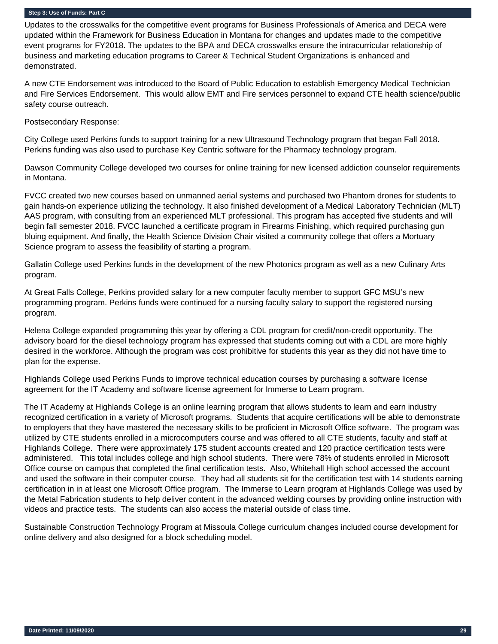Updates to the crosswalks for the competitive event programs for Business Professionals of America and DECA were updated within the Framework for Business Education in Montana for changes and updates made to the competitive event programs for FY2018. The updates to the BPA and DECA crosswalks ensure the intracurricular relationship of business and marketing education programs to Career & Technical Student Organizations is enhanced and demonstrated.

A new CTE Endorsement was introduced to the Board of Public Education to establish Emergency Medical Technician and Fire Services Endorsement. This would allow EMT and Fire services personnel to expand CTE health science/public safety course outreach.

Postsecondary Response:

City College used Perkins funds to support training for a new Ultrasound Technology program that began Fall 2018. Perkins funding was also used to purchase Key Centric software for the Pharmacy technology program.

Dawson Community College developed two courses for online training for new licensed addiction counselor requirements in Montana.

FVCC created two new courses based on unmanned aerial systems and purchased two Phantom drones for students to gain hands-on experience utilizing the technology. It also finished development of a Medical Laboratory Technician (MLT) AAS program, with consulting from an experienced MLT professional. This program has accepted five students and will begin fall semester 2018. FVCC launched a certificate program in Firearms Finishing, which required purchasing gun bluing equipment. And finally, the Health Science Division Chair visited a community college that offers a Mortuary Science program to assess the feasibility of starting a program.

Gallatin College used Perkins funds in the development of the new Photonics program as well as a new Culinary Arts program.

At Great Falls College, Perkins provided salary for a new computer faculty member to support GFC MSU's new programming program. Perkins funds were continued for a nursing faculty salary to support the registered nursing program.

Helena College expanded programming this year by offering a CDL program for credit/non-credit opportunity. The advisory board for the diesel technology program has expressed that students coming out with a CDL are more highly desired in the workforce. Although the program was cost prohibitive for students this year as they did not have time to plan for the expense.

Highlands College used Perkins Funds to improve technical education courses by purchasing a software license agreement for the IT Academy and software license agreement for Immerse to Learn program.

The IT Academy at Highlands College is an online learning program that allows students to learn and earn industry recognized certification in a variety of Microsoft programs. Students that acquire certifications will be able to demonstrate to employers that they have mastered the necessary skills to be proficient in Microsoft Office software. The program was utilized by CTE students enrolled in a microcomputers course and was offered to all CTE students, faculty and staff at Highlands College. There were approximately 175 student accounts created and 120 practice certification tests were administered. This total includes college and high school students. There were 78% of students enrolled in Microsoft Office course on campus that completed the final certification tests. Also, Whitehall High school accessed the account and used the software in their computer course. They had all students sit for the certification test with 14 students earning certification in in at least one Microsoft Office program. The Immerse to Learn program at Highlands College was used by the Metal Fabrication students to help deliver content in the advanced welding courses by providing online instruction with videos and practice tests. The students can also access the material outside of class time.

Sustainable Construction Technology Program at Missoula College curriculum changes included course development for online delivery and also designed for a block scheduling model.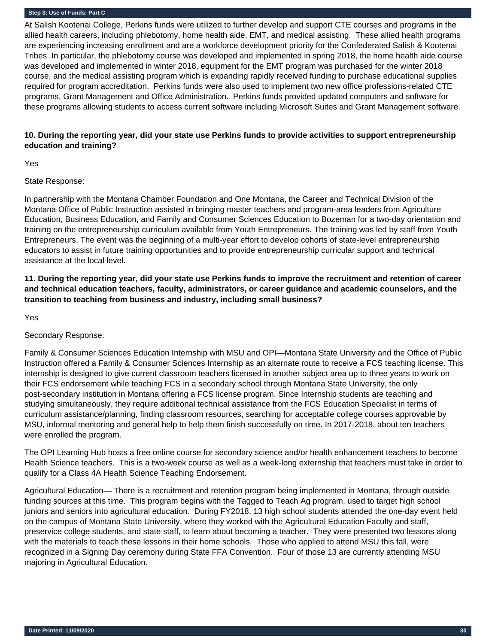At Salish Kootenai College, Perkins funds were utilized to further develop and support CTE courses and programs in the allied health careers, including phlebotomy, home health aide, EMT, and medical assisting. These allied health programs are experiencing increasing enrollment and are a workforce development priority for the Confederated Salish & Kootenai Tribes. In particular, the phlebotomy course was developed and implemented in spring 2018, the home health aide course was developed and implemented in winter 2018, equipment for the EMT program was purchased for the winter 2018 course, and the medical assisting program which is expanding rapidly received funding to purchase educational supplies required for program accreditation. Perkins funds were also used to implement two new office professions-related CTE programs, Grant Management and Office Administration. Perkins funds provided updated computers and software for these programs allowing students to access current software including Microsoft Suites and Grant Management software.

## **10. During the reporting year, did your state use Perkins funds to provide activities to support entrepreneurship education and training?**

Yes

State Response:

In partnership with the Montana Chamber Foundation and One Montana, the Career and Technical Division of the Montana Office of Public Instruction assisted in bringing master teachers and program-area leaders from Agriculture Education, Business Education, and Family and Consumer Sciences Education to Bozeman for a two-day orientation and training on the entrepreneurship curriculum available from Youth Entrepreneurs. The training was led by staff from Youth Entrepreneurs. The event was the beginning of a multi-year effort to develop cohorts of state-level entrepreneurship educators to assist in future training opportunities and to provide entrepreneurship curricular support and technical assistance at the local level.

**11. During the reporting year, did your state use Perkins funds to improve the recruitment and retention of career and technical education teachers, faculty, administrators, or career guidance and academic counselors, and the transition to teaching from business and industry, including small business?** 

Yes

Secondary Response:

Family & Consumer Sciences Education Internship with MSU and OPI—Montana State University and the Office of Public Instruction offered a Family & Consumer Sciences Internship as an alternate route to receive a FCS teaching license. This internship is designed to give current classroom teachers licensed in another subject area up to three years to work on their FCS endorsement while teaching FCS in a secondary school through Montana State University, the only post-secondary institution in Montana offering a FCS license program. Since Internship students are teaching and studying simultaneously, they require additional technical assistance from the FCS Education Specialist in terms of curriculum assistance/planning, finding classroom resources, searching for acceptable college courses approvable by MSU, informal mentoring and general help to help them finish successfully on time. In 2017-2018, about ten teachers were enrolled the program.

The OPI Learning Hub hosts a free online course for secondary science and/or health enhancement teachers to become Health Science teachers. This is a two-week course as well as a week-long externship that teachers must take in order to qualify for a Class 4A Health Science Teaching Endorsement.

Agricultural Education— There is a recruitment and retention program being implemented in Montana, through outside funding sources at this time. This program begins with the Tagged to Teach Ag program, used to target high school juniors and seniors into agricultural education. During FY2018, 13 high school students attended the one-day event held on the campus of Montana State University, where they worked with the Agricultural Education Faculty and staff, preservice college students, and state staff, to learn about becoming a teacher. They were presented two lessons along with the materials to teach these lessons in their home schools. Those who applied to attend MSU this fall, were recognized in a Signing Day ceremony during State FFA Convention. Four of those 13 are currently attending MSU majoring in Agricultural Education.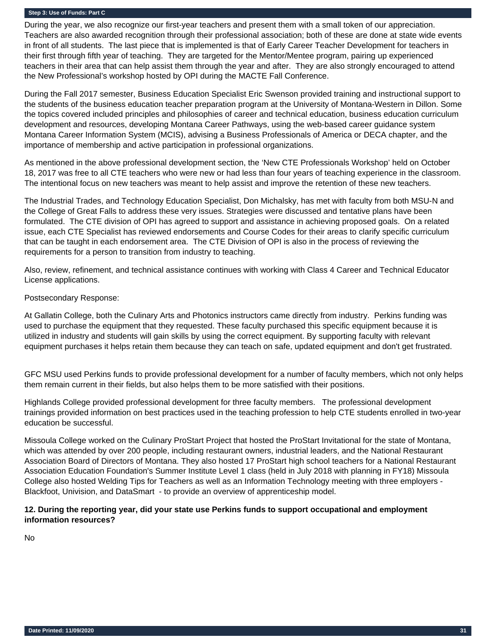During the year, we also recognize our first-year teachers and present them with a small token of our appreciation. Teachers are also awarded recognition through their professional association; both of these are done at state wide events in front of all students. The last piece that is implemented is that of Early Career Teacher Development for teachers in their first through fifth year of teaching. They are targeted for the Mentor/Mentee program, pairing up experienced teachers in their area that can help assist them through the year and after. They are also strongly encouraged to attend the New Professional's workshop hosted by OPI during the MACTE Fall Conference.

During the Fall 2017 semester, Business Education Specialist Eric Swenson provided training and instructional support to the students of the business education teacher preparation program at the University of Montana-Western in Dillon. Some the topics covered included principles and philosophies of career and technical education, business education curriculum development and resources, developing Montana Career Pathways, using the web-based career guidance system Montana Career Information System (MCIS), advising a Business Professionals of America or DECA chapter, and the importance of membership and active participation in professional organizations.

As mentioned in the above professional development section, the 'New CTE Professionals Workshop' held on October 18, 2017 was free to all CTE teachers who were new or had less than four years of teaching experience in the classroom. The intentional focus on new teachers was meant to help assist and improve the retention of these new teachers.

The Industrial Trades, and Technology Education Specialist, Don Michalsky, has met with faculty from both MSU-N and the College of Great Falls to address these very issues. Strategies were discussed and tentative plans have been formulated. The CTE division of OPI has agreed to support and assistance in achieving proposed goals. On a related issue, each CTE Specialist has reviewed endorsements and Course Codes for their areas to clarify specific curriculum that can be taught in each endorsement area. The CTE Division of OPI is also in the process of reviewing the requirements for a person to transition from industry to teaching.

Also, review, refinement, and technical assistance continues with working with Class 4 Career and Technical Educator License applications.

## Postsecondary Response:

At Gallatin College, both the Culinary Arts and Photonics instructors came directly from industry. Perkins funding was used to purchase the equipment that they requested. These faculty purchased this specific equipment because it is utilized in industry and students will gain skills by using the correct equipment. By supporting faculty with relevant equipment purchases it helps retain them because they can teach on safe, updated equipment and don't get frustrated.

GFC MSU used Perkins funds to provide professional development for a number of faculty members, which not only helps them remain current in their fields, but also helps them to be more satisfied with their positions.

Highlands College provided professional development for three faculty members. The professional development trainings provided information on best practices used in the teaching profession to help CTE students enrolled in two-year education be successful.

Missoula College worked on the Culinary ProStart Project that hosted the ProStart Invitational for the state of Montana, which was attended by over 200 people, including restaurant owners, industrial leaders, and the National Restaurant Association Board of Directors of Montana. They also hosted 17 ProStart high school teachers for a National Restaurant Association Education Foundation's Summer Institute Level 1 class (held in July 2018 with planning in FY18) Missoula College also hosted Welding Tips for Teachers as well as an Information Technology meeting with three employers - Blackfoot, Univision, and DataSmart - to provide an overview of apprenticeship model.

## **12. During the reporting year, did your state use Perkins funds to support occupational and employment information resources?**

No